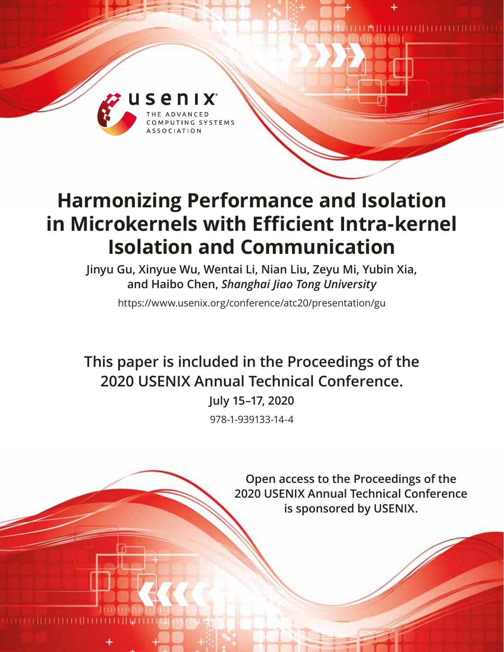

# **Harmonizing Performance and Isolation in Microkernels with Efficient Intra-kernel Isolation and Communication**

**Jinyu Gu, Xinyue Wu, Wentai Li, Nian Liu, Zeyu Mi, Yubin Xia, and Haibo Chen,** *Shanghai Jiao Tong University*

https://www.usenix.org/conference/atc20/presentation/gu

**This paper is included in the Proceedings of the 2020 USENIX Annual Technical Conference.**

> **July 15–17, 2020** 978-1-939133-14-4

> > **Open access to the Proceedings of the 2020 USENIX Annual Technical Conference is sponsored by USENIX.**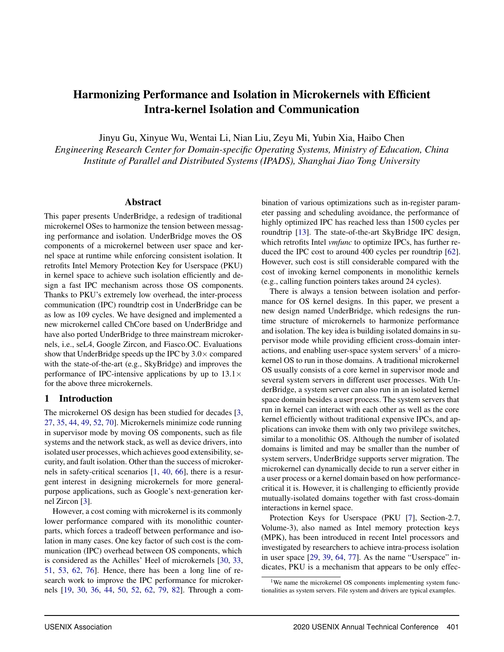# Harmonizing Performance and Isolation in Microkernels with Efficient Intra-kernel Isolation and Communication

Jinyu Gu, Xinyue Wu, Wentai Li, Nian Liu, Zeyu Mi, Yubin Xia, Haibo Chen

*Engineering Research Center for Domain-specific Operating Systems, Ministry of Education, China Institute of Parallel and Distributed Systems (IPADS), Shanghai Jiao Tong University*

#### Abstract

This paper presents UnderBridge, a redesign of traditional microkernel OSes to harmonize the tension between messaging performance and isolation. UnderBridge moves the OS components of a microkernel between user space and kernel space at runtime while enforcing consistent isolation. It retrofits Intel Memory Protection Key for Userspace (PKU) in kernel space to achieve such isolation efficiently and design a fast IPC mechanism across those OS components. Thanks to PKU's extremely low overhead, the inter-process communication (IPC) roundtrip cost in UnderBridge can be as low as 109 cycles. We have designed and implemented a new microkernel called ChCore based on UnderBridge and have also ported UnderBridge to three mainstream microkernels, i.e., seL4, Google Zircon, and Fiasco.OC. Evaluations show that UnderBridge speeds up the IPC by  $3.0 \times$  compared with the state-of-the-art (e.g., SkyBridge) and improves the performance of IPC-intensive applications by up to  $13.1\times$ for the above three microkernels.

#### 1 Introduction

The microkernel OS design has been studied for decades [\[3,](#page-13-0) [27,](#page-14-0) [35,](#page-14-1) [44,](#page-14-2) [49,](#page-15-0) [52](#page-15-1), [70](#page-16-0)]. Microkernels minimize code running in supervisor mode by moving OS components, such as file systems and the network stack, as well as device drivers, into isolated user processes, which achieves good extensibility, security, and fault isolation. Other than the success of microkernels in safety-critical scenarios [\[1](#page-13-1), [40](#page-14-3), [66\]](#page-16-1), there is a resurgent interest in designing microkernels for more generalpurpose applications, such as Google's next-generation kernel Zircon [\[3](#page-13-0)].

However, a cost coming with microkernel is its commonly lower performance compared with its monolithic counterparts, which forces a tradeoff between performance and isolation in many cases. One key factor of such cost is the communication (IPC) overhead between OS components, which is considered as the Achilles' Heel of microkernels [\[30](#page-14-4), [33,](#page-14-5) [51,](#page-15-2) [53,](#page-15-3) [62,](#page-15-4) [76\]](#page-16-2). Hence, there has been a long line of research work to improve the IPC performance for microkernels [\[19](#page-13-2), [30,](#page-14-4) [36](#page-14-6), [44,](#page-14-2) [50](#page-15-5), [52](#page-15-1), [62,](#page-15-4) [79](#page-16-3), [82\]](#page-16-4). Through a combination of various optimizations such as in-register parameter passing and scheduling avoidance, the performance of highly optimized IPC has reached less than 1500 cycles per roundtrip [\[13](#page-13-3)]. The state-of-the-art SkyBridge IPC design, which retrofits Intel *vmfunc* to optimize IPCs, has further reduced the IPC cost to around 400 cycles per roundtrip [\[62\]](#page-15-4). However, such cost is still considerable compared with the cost of invoking kernel components in monolithic kernels (e.g., calling function pointers takes around 24 cycles).

There is always a tension between isolation and performance for OS kernel designs. In this paper, we present a new design named UnderBridge, which redesigns the runtime structure of microkernels to harmonize performance and isolation. The key idea is building isolated domains in supervisor mode while providing efficient cross-domain interactions, and enabling user-space system servers<sup>1</sup> of a microkernel OS to run in those domains. A traditional microkernel OS usually consists of a core kernel in supervisor mode and several system servers in different user processes. With UnderBridge, a system server can also run in an isolated kernel space domain besides a user process. The system servers that run in kernel can interact with each other as well as the core kernel efficiently without traditional expensive IPCs, and applications can invoke them with only two privilege switches, similar to a monolithic OS. Although the number of isolated domains is limited and may be smaller than the number of system servers, UnderBridge supports server migration. The microkernel can dynamically decide to run a server either in a user process or a kernel domain based on how performancecritical it is. However, it is challenging to efficiently provide mutually-isolated domains together with fast cross-domain interactions in kernel space.

Protection Keys for Userspace (PKU [\[7](#page-13-4)], Section-2.7, Volume-3), also named as Intel memory protection keys (MPK), has been introduced in recent Intel processors and investigated by researchers to achieve intra-process isolation in user space [\[29,](#page-14-7) [39](#page-14-8), [64](#page-15-6), [77\]](#page-16-5). As the name "Userspace" indicates, PKU is a mechanism that appears to be only effec-

<sup>&</sup>lt;sup>1</sup>We name the microkernel OS components implementing system functionalities as system servers. File system and drivers are typical examples.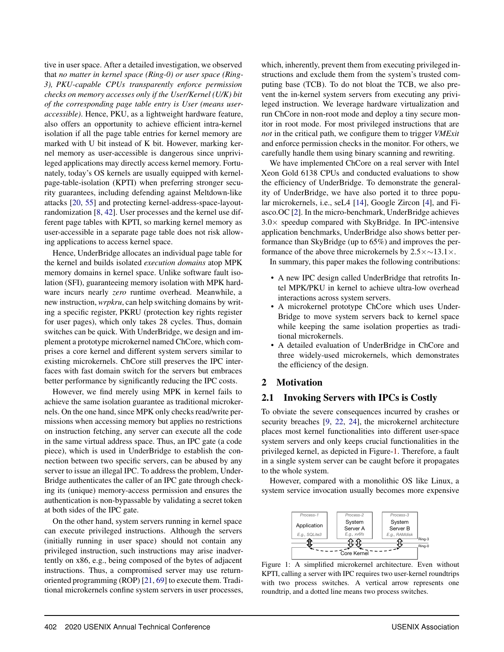tive in user space. After a detailed investigation, we observed that *no matter in kernel space (Ring-0) or user space (Ring-3), PKU-capable CPUs transparently enforce permission checks on memory accesses only if the User/Kernel (U/K) bit of the corresponding page table entry is User (means useraccessible)*. Hence, PKU, as a lightweight hardware feature, also offers an opportunity to achieve efficient intra-kernel isolation if all the page table entries for kernel memory are marked with U bit instead of K bit. However, marking kernel memory as user-accessible is dangerous since unprivileged applications may directly access kernel memory. Fortunately, today's OS kernels are usually equipped with kernelpage-table-isolation (KPTI) when preferring stronger security guarantees, including defending against Meltdown-like attacks [\[20](#page-13-5), [55\]](#page-15-7) and protecting kernel-address-space-layoutrandomization [\[8](#page-13-6), [42](#page-14-9)]. User processes and the kernel use different page tables with KPTI, so marking kernel memory as user-accessible in a separate page table does not risk allowing applications to access kernel space.

Hence, UnderBridge allocates an individual page table for the kernel and builds isolated *execution domains* atop MPK memory domains in kernel space. Unlike software fault isolation (SFI), guaranteeing memory isolation with MPK hardware incurs nearly *zero* runtime overhead. Meanwhile, a new instruction, *wrpkru*, can help switching domains by writing a specific register, PKRU (protection key rights register for user pages), which only takes 28 cycles. Thus, domain switches can be quick. With UnderBridge, we design and implement a prototype microkernel named ChCore, which comprises a core kernel and different system servers similar to existing microkernels. ChCore still preserves the IPC interfaces with fast domain switch for the servers but embraces better performance by significantly reducing the IPC costs.

However, we find merely using MPK in kernel fails to achieve the same isolation guarantee as traditional microkernels. On the one hand, since MPK only checks read/write permissions when accessing memory but applies no restrictions on instruction fetching, any server can execute all the code in the same virtual address space. Thus, an IPC gate (a code piece), which is used in UnderBridge to establish the connection between two specific servers, can be abused by any server to issue an illegal IPC. To address the problem, Under-Bridge authenticates the caller of an IPC gate through checking its (unique) memory-access permission and ensures the authentication is non-bypassable by validating a secret token at both sides of the IPC gate.

On the other hand, system servers running in kernel space can execute privileged instructions. Although the servers (initially running in user space) should not contain any privileged instruction, such instructions may arise inadvertently on x86, e.g., being composed of the bytes of adjacent instructions. Thus, a compromised server may use returnoriented programming (ROP) [\[21](#page-13-7), [69\]](#page-16-6) to execute them. Traditional microkernels confine system servers in user processes, which, inherently, prevent them from executing privileged instructions and exclude them from the system's trusted computing base (TCB). To do not bloat the TCB, we also prevent the in-kernel system servers from executing any privileged instruction. We leverage hardware virtualization and run ChCore in non-root mode and deploy a tiny secure monitor in root mode. For most privileged instructions that are *not* in the critical path, we configure them to trigger *VMExit* and enforce permission checks in the monitor. For others, we carefully handle them using binary scanning and rewriting.

We have implemented ChCore on a real server with Intel Xeon Gold 6138 CPUs and conducted evaluations to show the efficiency of UnderBridge. To demonstrate the generality of UnderBridge, we have also ported it to three popular microkernels, i.e., seL4 [\[14](#page-13-8)], Google Zircon [\[4\]](#page-13-9), and Fiasco.OC [\[2](#page-13-10)]. In the micro-benchmark, UnderBridge achieves  $3.0\times$  speedup compared with SkyBridge. In IPC-intensive application benchmarks, UnderBridge also shows better performance than SkyBridge (up to 65%) and improves the performance of the above three microkernels by  $2.5 \times \sim 13.1 \times$ .

In summary, this paper makes the following contributions:

- A new IPC design called UnderBridge that retrofits Intel MPK/PKU in kernel to achieve ultra-low overhead interactions across system servers.
- A microkernel prototype ChCore which uses Under-Bridge to move system servers back to kernel space while keeping the same isolation properties as traditional microkernels.
- A detailed evaluation of UnderBridge in ChCore and three widely-used microkernels, which demonstrates the efficiency of the design.

#### 2 Motivation

#### 2.1 Invoking Servers with IPCs is Costly

To obviate the severe consequences incurred by crashes or security breaches [\[9,](#page-13-11) [22](#page-13-12), [24\]](#page-13-13), the microkernel architecture places most kernel functionalities into different user-space system servers and only keeps crucial functionalities in the privileged kernel, as depicted in Figure[-1.](#page-2-0) Therefore, a fault in a single system server can be caught before it propagates to the whole system.

<span id="page-2-0"></span>However, compared with a monolithic OS like Linux, a system service invocation usually becomes more expensive



Figure 1: A simplified microkernel architecture. Even without KPTI, calling a server with IPC requires two user-kernel roundtrips with two process switches. A vertical arrow represents one roundtrip, and a dotted line means two process switches.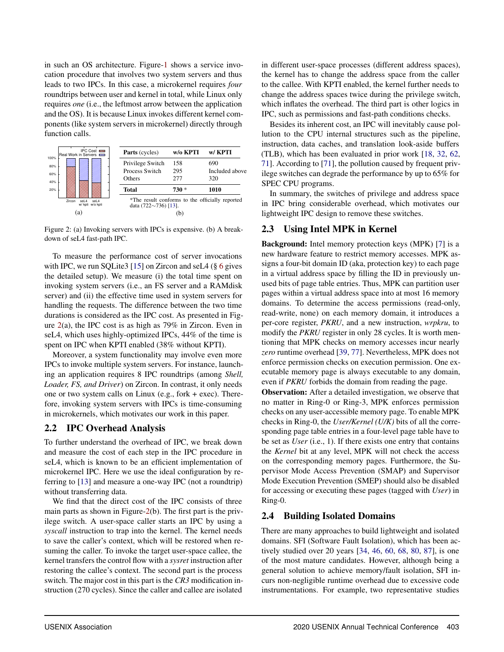in such an OS architecture. Figure[-1](#page-2-0) shows a service invocation procedure that involves two system servers and thus leads to two IPCs. In this case, a microkernel requires *four* roundtrips between user and kernel in total, while Linux only requires *one* (i.e., the leftmost arrow between the application and the OS). It is because Linux invokes different kernel components (like system servers in microkernel) directly through function calls.

<span id="page-3-0"></span>

Figure 2: (a) Invoking servers with IPCs is expensive. (b) A breakdown of seL4 fast-path IPC.

To measure the performance cost of server invocations with IPC, we run SQLite3 [\[15\]](#page-13-14) on Zircon and seL4 ( $\S$  [6](#page-9-0) gives the detailed setup). We measure (i) the total time spent on invoking system servers (i.e., an FS server and a RAMdisk server) and (ii) the effective time used in system servers for handling the requests. The difference between the two time durations is considered as the IPC cost. As presented in Figure [2\(](#page-3-0)a), the IPC cost is as high as 79% in Zircon. Even in seL4, which uses highly-optimized IPCs, 44% of the time is spent on IPC when KPTI enabled (38% without KPTI).

Moreover, a system functionality may involve even more IPCs to invoke multiple system servers. For instance, launching an application requires 8 IPC roundtrips (among *Shell, Loader, FS, and Driver*) on Zircon. In contrast, it only needs one or two system calls on Linux (e.g., fork + exec). Therefore, invoking system servers with IPCs is time-consuming in microkernels, which motivates our work in this paper.

# <span id="page-3-2"></span>2.2 IPC Overhead Analysis

To further understand the overhead of IPC, we break down and measure the cost of each step in the IPC procedure in seL4, which is known to be an efficient implementation of microkernel IPC. Here we use the ideal configuration by referring to [\[13](#page-13-3)] and measure a one-way IPC (not a roundtrip) without transferring data.

We find that the direct cost of the IPC consists of three main parts as shown in Figure[-2\(](#page-3-0)b). The first part is the privilege switch. A user-space caller starts an IPC by using a *syscall* instruction to trap into the kernel. The kernel needs to save the caller's context, which will be restored when resuming the caller. To invoke the target user-space callee, the kernel transfers the control flow with a *sysret* instruction after restoring the callee's context. The second part is the process switch. The major cost in this part is the *CR3* modification instruction (270 cycles). Since the caller and callee are isolated

in different user-space processes (different address spaces), the kernel has to change the address space from the caller to the callee. With KPTI enabled, the kernel further needs to change the address spaces twice during the privilege switch, which inflates the overhead. The third part is other logics in IPC, such as permissions and fast-path conditions checks.

Besides its inherent cost, an IPC will inevitably cause pollution to the CPU internal structures such as the pipeline, instruction, data caches, and translation look-aside buffers (TLB), which has been evaluated in prior work [\[18](#page-13-15), [32](#page-14-10), [62,](#page-15-4) [71\]](#page-16-7). According to [\[71](#page-16-7)], the pollution caused by frequent privilege switches can degrade the performance by up to 65% for SPEC CPU programs.

In summary, the switches of privilege and address space in IPC bring considerable overhead, which motivates our lightweight IPC design to remove these switches.

# <span id="page-3-1"></span>2.3 Using Intel MPK in Kernel

Background: Intel memory protection keys (MPK) [\[7\]](#page-13-4) is a new hardware feature to restrict memory accesses. MPK assigns a four-bit domain ID (aka, protection key) to each page in a virtual address space by filling the ID in previously unused bits of page table entries. Thus, MPK can partition user pages within a virtual address space into at most 16 memory domains. To determine the access permissions (read-only, read-write, none) on each memory domain, it introduces a per-core register, *PKRU*, and a new instruction, *wrpkru*, to modify the *PKRU* register in only 28 cycles. It is worth mentioning that MPK checks on memory accesses incur nearly *zero* runtime overhead [\[39](#page-14-8), [77\]](#page-16-5). Nevertheless, MPK does not enforce permission checks on execution permission. One executable memory page is always executable to any domain, even if *PKRU* forbids the domain from reading the page.

Observation: After a detailed investigation, we observe that no matter in Ring-0 or Ring-3, MPK enforces permission checks on any user-accessible memory page. To enable MPK checks in Ring-0, the *User/Kernel (U/K)* bits of all the corresponding page table entries in a four-level page table have to be set as *User* (i.e., 1). If there exists one entry that contains the *Kernel* bit at any level, MPK will not check the access on the corresponding memory pages. Furthermore, the Supervisor Mode Access Prevention (SMAP) and Supervisor Mode Execution Prevention (SMEP) should also be disabled for accessing or executing these pages (tagged with *User*) in Ring-0.

# 2.4 Building Isolated Domains

There are many approaches to build lightweight and isolated domains. SFI (Software Fault Isolation), which has been actively studied over 20 years [\[34](#page-14-11), [46](#page-15-8), [60,](#page-15-9) [68,](#page-16-8) [80](#page-16-9), [87](#page-17-0)], is one of the most mature candidates. However, although being a general solution to achieve memory/fault isolation, SFI incurs non-negligible runtime overhead due to excessive code instrumentations. For example, two representative studies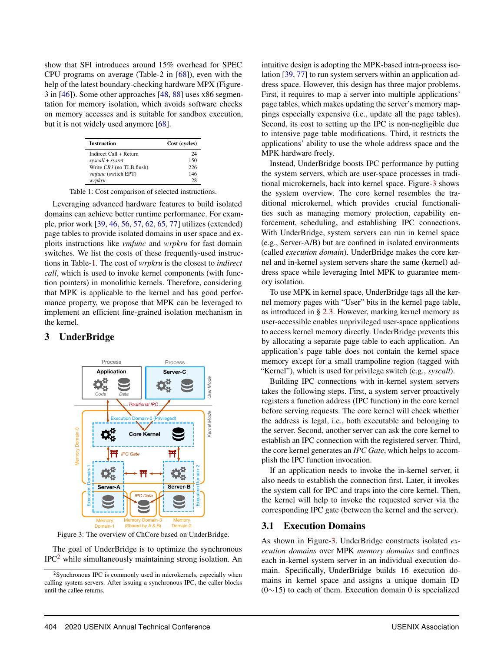show that SFI introduces around 15% overhead for SPEC CPU programs on average (Table-2 in [\[68\]](#page-16-8)), even with the help of the latest boundary-checking hardware MPX (Figure-3 in [\[46\]](#page-15-8)). Some other approaches [\[48,](#page-15-10) [88\]](#page-17-1) uses x86 segmentation for memory isolation, which avoids software checks on memory accesses and is suitable for sandbox execution, but it is not widely used anymore [\[68](#page-16-8)].

<span id="page-4-0"></span>

| <b>Instruction</b>       | Cost (cycles) |  |
|--------------------------|---------------|--|
| Indirect Call + Return   | 24            |  |
| syscall + sysret         | 150           |  |
| Write CR3 (no TLB flush) | 226           |  |
| vmfunc (switch EPT)      | 146           |  |
| wrpkru                   | 28            |  |

Table 1: Cost comparison of selected instructions.

Leveraging advanced hardware features to build isolated domains can achieve better runtime performance. For example, prior work [\[39,](#page-14-8) [46,](#page-15-8) [56](#page-15-11), [57,](#page-15-12) [62,](#page-15-4) [65](#page-15-13), [77\]](#page-16-5) utilizes (extended) page tables to provide isolated domains in user space and exploits instructions like *vmfunc* and *wrpkru* for fast domain switches. We list the costs of these frequently-used instructions in Table[-1.](#page-4-0) The cost of *wrpkru* is the closest to *indirect call*, which is used to invoke kernel components (with function pointers) in monolithic kernels. Therefore, considering that MPK is applicable to the kernel and has good performance property, we propose that MPK can be leveraged to implement an efficient fine-grained isolation mechanism in the kernel.

#### <span id="page-4-1"></span>3 UnderBridge



Figure 3: The overview of ChCore based on UnderBridge.

The goal of UnderBridge is to optimize the synchronous IPC<sup>2</sup> while simultaneously maintaining strong isolation. An intuitive design is adopting the MPK-based intra-process isolation [\[39,](#page-14-8) [77\]](#page-16-5) to run system servers within an application address space. However, this design has three major problems. First, it requires to map a server into multiple applications' page tables, which makes updating the server's memory mappings especially expensive (i.e., update all the page tables). Second, its cost to setting up the IPC is non-negligible due to intensive page table modifications. Third, it restricts the applications' ability to use the whole address space and the MPK hardware freely.

Instead, UnderBridge boosts IPC performance by putting the system servers, which are user-space processes in traditional microkernels, back into kernel space. Figure[-3](#page-4-1) shows the system overview. The core kernel resembles the traditional microkernel, which provides crucial functionalities such as managing memory protection, capability enforcement, scheduling, and establishing IPC connections. With UnderBridge, system servers can run in kernel space (e.g., Server-A/B) but are confined in isolated environments (called *execution domain*). UnderBridge makes the core kernel and in-kernel system servers share the same (kernel) address space while leveraging Intel MPK to guarantee memory isolation.

To use MPK in kernel space, UnderBridge tags all the kernel memory pages with "User" bits in the kernel page table, as introduced in § [2.3.](#page-3-1) However, marking kernel memory as user-accessible enables unprivileged user-space applications to access kernel memory directly. UnderBridge prevents this by allocating a separate page table to each application. An application's page table does not contain the kernel space memory except for a small trampoline region (tagged with "Kernel"), which is used for privilege switch (e.g., *syscall*).

Building IPC connections with in-kernel system servers takes the following steps. First, a system server proactively registers a function address (IPC function) in the core kernel before serving requests. The core kernel will check whether the address is legal, i.e., both executable and belonging to the server. Second, another server can ask the core kernel to establish an IPC connection with the registered server. Third, the core kernel generates an *IPC Gate*, which helps to accomplish the IPC function invocation.

If an application needs to invoke the in-kernel server, it also needs to establish the connection first. Later, it invokes the system call for IPC and traps into the core kernel. Then, the kernel will help to invoke the requested server via the corresponding IPC gate (between the kernel and the server).

#### 3.1 Execution Domains

As shown in Figure[-3,](#page-4-1) UnderBridge constructs isolated *execution domains* over MPK *memory domains* and confines each in-kernel system server in an individual execution domain. Specifically, UnderBridge builds 16 execution domains in kernel space and assigns a unique domain ID  $(0~15)$  to each of them. Execution domain 0 is specialized

<sup>2</sup>Synchronous IPC is commonly used in microkernels, especially when calling system servers. After issuing a synchronous IPC, the caller blocks until the callee returns.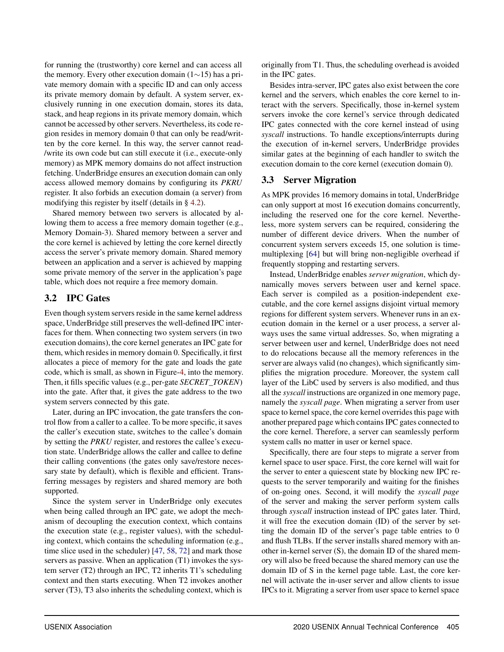for running the (trustworthy) core kernel and can access all the memory. Every other execution domain (1∼15) has a private memory domain with a specific ID and can only access its private memory domain by default. A system server, exclusively running in one execution domain, stores its data, stack, and heap regions in its private memory domain, which cannot be accessed by other servers. Nevertheless, its code region resides in memory domain 0 that can only be read/written by the core kernel. In this way, the server cannot read- /write its own code but can still execute it (i.e., execute-only memory) as MPK memory domains do not affect instruction fetching. UnderBridge ensures an execution domain can only access allowed memory domains by configuring its *PKRU* register. It also forbids an execution domain (a server) from modifying this register by itself (details in § [4.2\)](#page-7-0).

Shared memory between two servers is allocated by allowing them to access a free memory domain together (e.g., Memory Domain-3). Shared memory between a server and the core kernel is achieved by letting the core kernel directly access the server's private memory domain. Shared memory between an application and a server is achieved by mapping some private memory of the server in the application's page table, which does not require a free memory domain.

# 3.2 IPC Gates

Even though system servers reside in the same kernel address space, UnderBridge still preserves the well-defined IPC interfaces for them. When connecting two system servers (in two execution domains), the core kernel generates an IPC gate for them, which resides in memory domain 0. Specifically, it first allocates a piece of memory for the gate and loads the gate code, which is small, as shown in Figure[-4,](#page-6-0) into the memory. Then, it fills specific values (e.g., per-gate *SECRET\_TOKEN*) into the gate. After that, it gives the gate address to the two system servers connected by this gate.

Later, during an IPC invocation, the gate transfers the control flow from a caller to a callee. To be more specific, it saves the caller's execution state, switches to the callee's domain by setting the *PRKU* register, and restores the callee's execution state. UnderBridge allows the caller and callee to define their calling conventions (the gates only save/restore necessary state by default), which is flexible and efficient. Transferring messages by registers and shared memory are both supported.

Since the system server in UnderBridge only executes when being called through an IPC gate, we adopt the mechanism of decoupling the execution context, which contains the execution state (e.g., register values), with the scheduling context, which contains the scheduling information (e.g., time slice used in the scheduler) [\[47,](#page-15-14) [58,](#page-15-15) [72\]](#page-16-10) and mark those servers as passive. When an application (T1) invokes the system server (T2) through an IPC, T2 inherits T1's scheduling context and then starts executing. When T2 invokes another server (T3), T3 also inherits the scheduling context, which is

originally from T1. Thus, the scheduling overhead is avoided in the IPC gates.

Besides intra-server, IPC gates also exist between the core kernel and the servers, which enables the core kernel to interact with the servers. Specifically, those in-kernel system servers invoke the core kernel's service through dedicated IPC gates connected with the core kernel instead of using *syscall* instructions. To handle exceptions/interrupts during the execution of in-kernel servers, UnderBridge provides similar gates at the beginning of each handler to switch the execution domain to the core kernel (execution domain 0).

### <span id="page-5-0"></span>3.3 Server Migration

As MPK provides 16 memory domains in total, UnderBridge can only support at most 16 execution domains concurrently, including the reserved one for the core kernel. Nevertheless, more system servers can be required, considering the number of different device drivers. When the number of concurrent system servers exceeds 15, one solution is timemultiplexing [\[64](#page-15-6)] but will bring non-negligible overhead if frequently stopping and restarting servers.

Instead, UnderBridge enables *server migration*, which dynamically moves servers between user and kernel space. Each server is compiled as a position-independent executable, and the core kernel assigns disjoint virtual memory regions for different system servers. Whenever runs in an execution domain in the kernel or a user process, a server always uses the same virtual addresses. So, when migrating a server between user and kernel, UnderBridge does not need to do relocations because all the memory references in the server are always valid (no changes), which significantly simplifies the migration procedure. Moreover, the system call layer of the LibC used by servers is also modified, and thus all the *syscall* instructions are organized in one memory page, namely the *syscall page*. When migrating a server from user space to kernel space, the core kernel overrides this page with another prepared page which contains IPC gates connected to the core kernel. Therefore, a server can seamlessly perform system calls no matter in user or kernel space.

Specifically, there are four steps to migrate a server from kernel space to user space. First, the core kernel will wait for the server to enter a quiescent state by blocking new IPC requests to the server temporarily and waiting for the finishes of on-going ones. Second, it will modify the *syscall page* of the server and making the server perform system calls through *syscall* instruction instead of IPC gates later. Third, it will free the execution domain (ID) of the server by setting the domain ID of the server's page table entries to 0 and flush TLBs. If the server installs shared memory with another in-kernel server (S), the domain ID of the shared memory will also be freed because the shared memory can use the domain ID of S in the kernel page table. Last, the core kernel will activate the in-user server and allow clients to issue IPCs to it. Migrating a server from user space to kernel space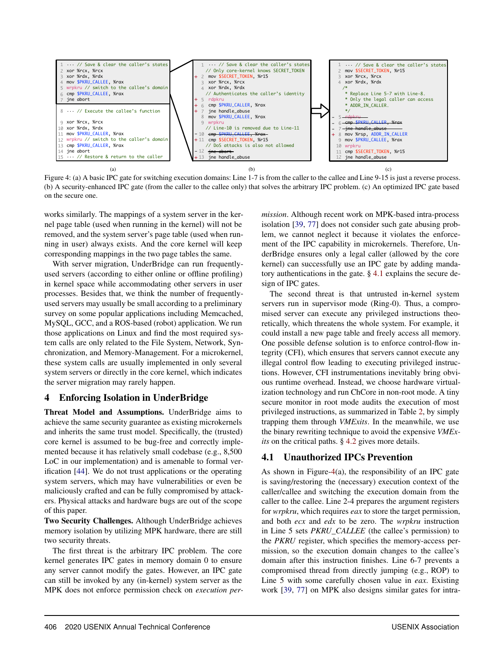<span id="page-6-0"></span>

Figure 4: (a) A basic IPC gate for switching execution domains: Line 1-7 is from the caller to the callee and Line 9-15 is just a reverse process. (b) A security-enhanced IPC gate (from the caller to the callee only) that solves the arbitrary IPC problem. (c) An optimized IPC gate based on the secure one.

works similarly. The mappings of a system server in the kernel page table (used when running in the kernel) will not be removed, and the system server's page table (used when running in user) always exists. And the core kernel will keep corresponding mappings in the two page tables the same.

With server migration, UnderBridge can run frequentlyused servers (according to either online or offline profiling) in kernel space while accommodating other servers in user processes. Besides that, we think the number of frequentlyused servers may usually be small according to a preliminary survey on some popular applications including Memcached, MySQL, GCC, and a ROS-based (robot) application. We run those applications on Linux and find the most required system calls are only related to the File System, Network, Synchronization, and Memory-Management. For a microkernel, these system calls are usually implemented in only several system servers or directly in the core kernel, which indicates the server migration may rarely happen.

#### 4 Enforcing Isolation in UnderBridge

Threat Model and Assumptions. UnderBridge aims to achieve the same security guarantee as existing microkernels and inherits the same trust model. Specifically, the (trusted) core kernel is assumed to be bug-free and correctly implemented because it has relatively small codebase (e.g., 8,500 LoC in our implementation) and is amenable to formal verification [\[44](#page-14-2)]. We do not trust applications or the operating system servers, which may have vulnerabilities or even be maliciously crafted and can be fully compromised by attackers. Physical attacks and hardware bugs are out of the scope of this paper.

Two Security Challenges. Although UnderBridge achieves memory isolation by utilizing MPK hardware, there are still two security threats.

The first threat is the arbitrary IPC problem. The core kernel generates IPC gates in memory domain 0 to ensure any server cannot modify the gates. However, an IPC gate can still be invoked by any (in-kernel) system server as the MPK does not enforce permission check on *execution per-* *mission*. Although recent work on MPK-based intra-process isolation [\[39](#page-14-8), [77\]](#page-16-5) does not consider such gate abusing problem, we cannot neglect it because it violates the enforcement of the IPC capability in microkernels. Therefore, UnderBridge ensures only a legal caller (allowed by the core kernel) can successfully use an IPC gate by adding mandatory authentications in the gate. § [4.1](#page-6-1) explains the secure design of IPC gates.

The second threat is that untrusted in-kernel system servers run in supervisor mode (Ring-0). Thus, a compromised server can execute any privileged instructions theoretically, which threatens the whole system. For example, it could install a new page table and freely access all memory. One possible defense solution is to enforce control-flow integrity (CFI), which ensures that servers cannot execute any illegal control flow leading to executing privileged instructions. However, CFI instrumentations inevitably bring obvious runtime overhead. Instead, we choose hardware virtualization technology and run ChCore in non-root mode. A tiny secure monitor in root mode audits the execution of most privileged instructions, as summarized in Table [2,](#page-8-0) by simply trapping them through *VMExits*. In the meanwhile, we use the binary rewriting technique to avoid the expensive *VMExits* on the critical paths. § [4.2](#page-7-0) gives more details.

# <span id="page-6-1"></span>4.1 Unauthorized IPCs Prevention

As shown in Figure[-4\(](#page-6-0)a), the responsibility of an IPC gate is saving/restoring the (necessary) execution context of the caller/callee and switching the execution domain from the caller to the callee. Line 2-4 prepares the argument registers for *wrpkru*, which requires *eax* to store the target permission, and both *ecx* and *edx* to be zero. The *wrpkru* instruction in Line 5 sets *PKRU\_CALLEE* (the callee's permission) to the *PKRU* register, which specifies the memory-access permission, so the execution domain changes to the callee's domain after this instruction finishes. Line 6-7 prevents a compromised thread from directly jumping (e.g., ROP) to Line 5 with some carefully chosen value in *eax*. Existing work [\[39,](#page-14-8) [77](#page-16-5)] on MPK also designs similar gates for intra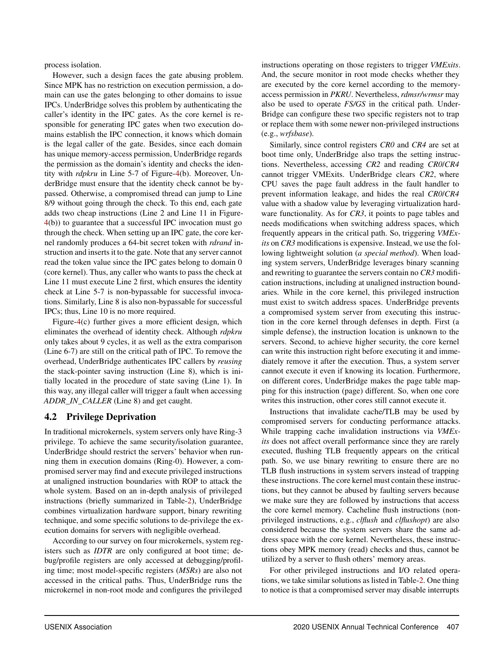process isolation.

However, such a design faces the gate abusing problem. Since MPK has no restriction on execution permission, a domain can use the gates belonging to other domains to issue IPCs. UnderBridge solves this problem by authenticating the caller's identity in the IPC gates. As the core kernel is responsible for generating IPC gates when two execution domains establish the IPC connection, it knows which domain is the legal caller of the gate. Besides, since each domain has unique memory-access permission, UnderBridge regards the permission as the domain's identity and checks the identity with *rdpkru* in Line 5-7 of Figure[-4\(](#page-6-0)b). Moreover, UnderBridge must ensure that the identity check cannot be bypassed. Otherwise, a compromised thread can jump to Line 8/9 without going through the check. To this end, each gate adds two cheap instructions (Line 2 and Line 11 in Figure-[4\(](#page-6-0)b)) to guarantee that a successful IPC invocation must go through the check. When setting up an IPC gate, the core kernel randomly produces a 64-bit secret token with *rdrand* instruction and inserts it to the gate. Note that any server cannot read the token value since the IPC gates belong to domain 0 (core kernel). Thus, any caller who wants to pass the check at Line 11 must execute Line 2 first, which ensures the identity check at Line 5-7 is non-bypassable for successful invocations. Similarly, Line 8 is also non-bypassable for successful IPCs; thus, Line 10 is no more required.

Figure[-4\(](#page-6-0)c) further gives a more efficient design, which eliminates the overhead of identity check. Although *rdpkru* only takes about 9 cycles, it as well as the extra comparison (Line 6-7) are still on the critical path of IPC. To remove the overhead, UnderBridge authenticates IPC callers by *reusing* the stack-pointer saving instruction (Line 8), which is initially located in the procedure of state saving (Line 1). In this way, any illegal caller will trigger a fault when accessing *ADDR\_IN\_CALLER* (Line 8) and get caught.

# <span id="page-7-0"></span>4.2 Privilege Deprivation

In traditional microkernels, system servers only have Ring-3 privilege. To achieve the same security/isolation guarantee, UnderBridge should restrict the servers' behavior when running them in execution domains (Ring-0). However, a compromised server may find and execute privileged instructions at unaligned instruction boundaries with ROP to attack the whole system. Based on an in-depth analysis of privileged instructions (briefly summarized in Table[-2\)](#page-8-0), UnderBridge combines virtualization hardware support, binary rewriting technique, and some specific solutions to de-privilege the execution domains for servers with negligible overhead.

According to our survey on four microkernels, system registers such as *IDTR* are only configured at boot time; debug/profile registers are only accessed at debugging/profiling time; most model-specific registers (*MSRs*) are also not accessed in the critical paths. Thus, UnderBridge runs the microkernel in non-root mode and configures the privileged

instructions operating on those registers to trigger *VMExits*. And, the secure monitor in root mode checks whether they are executed by the core kernel according to the memoryaccess permission in *PKRU*. Nevertheless,*rdmsr/wrmsr* may also be used to operate *FS/GS* in the critical path. Under-Bridge can configure these two specific registers not to trap or replace them with some newer non-privileged instructions (e.g., *wrfsbase*).

Similarly, since control registers *CR0* and *CR4* are set at boot time only, UnderBridge also traps the setting instructions. Nevertheless, accessing *CR2* and reading *CR0*/*CR4* cannot trigger VMExits. UnderBridge clears *CR2*, where CPU saves the page fault address in the fault handler to prevent information leakage, and hides the real *CR0*/*CR4* value with a shadow value by leveraging virtualization hardware functionality. As for *CR3*, it points to page tables and needs modifications when switching address spaces, which frequently appears in the critical path. So, triggering *VMExits* on *CR3* modifications is expensive. Instead, we use the following lightweight solution (*a special method*). When loading system servers, UnderBridge leverages binary scanning and rewriting to guarantee the servers contain no *CR3* modification instructions, including at unaligned instruction boundaries. While in the core kernel, this privileged instruction must exist to switch address spaces. UnderBridge prevents a compromised system server from executing this instruction in the core kernel through defenses in depth. First (a simple defense), the instruction location is unknown to the servers. Second, to achieve higher security, the core kernel can write this instruction right before executing it and immediately remove it after the execution. Thus, a system server cannot execute it even if knowing its location. Furthermore, on different cores, UnderBridge makes the page table mapping for this instruction (page) different. So, when one core writes this instruction, other cores still cannot execute it.

Instructions that invalidate cache/TLB may be used by compromised servers for conducting performance attacks. While trapping cache invalidation instructions via *VMExits* does not affect overall performance since they are rarely executed, flushing TLB frequently appears on the critical path. So, we use binary rewriting to ensure there are no TLB flush instructions in system servers instead of trapping these instructions. The core kernel must contain these instructions, but they cannot be abused by faulting servers because we make sure they are followed by instructions that access the core kernel memory. Cacheline flush instructions (nonprivileged instructions, e.g., *clflush* and *clflushopt*) are also considered because the system servers share the same address space with the core kernel. Nevertheless, these instructions obey MPK memory (read) checks and thus, cannot be utilized by a server to flush others' memory areas.

For other privileged instructions and I/O related operations, we take similar solutions as listed in Table[-2.](#page-8-0) One thing to notice is that a compromised server may disable interrupts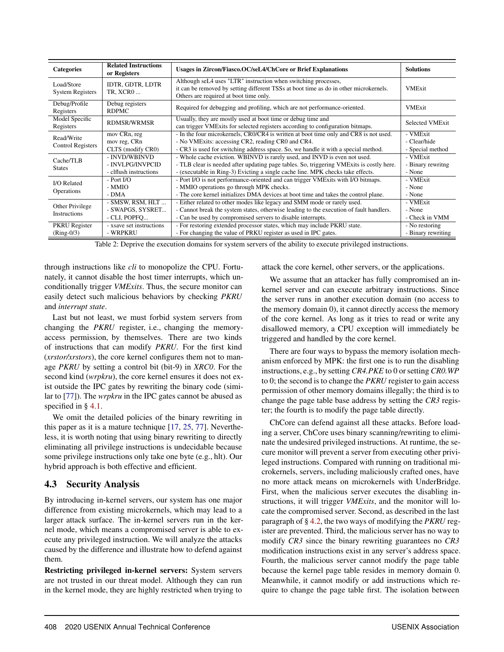<span id="page-8-0"></span>

| <b>Categories</b>                     | <b>Related Instructions</b><br>or Registers                 | Usages in Zircon/Fiasco.OC/seL4/ChCore or Brief Explanations                                                                                                                                                                                             | <b>Solutions</b>                             |
|---------------------------------------|-------------------------------------------------------------|----------------------------------------------------------------------------------------------------------------------------------------------------------------------------------------------------------------------------------------------------------|----------------------------------------------|
| Load/Store<br><b>System Registers</b> | IDTR, GDTR, LDTR<br><b>TR. XCRO</b>                         | Although seL4 uses "LTR" instruction when switching processes,<br>it can be removed by setting different TSSs at boot time as do in other microkernels.<br>Others are required at boot time only.                                                        | <b>VMExit</b>                                |
| Debug/Profile<br>Registers            | Debug registers<br><b>RDPMC</b>                             | Required for debugging and profiling, which are not performance-oriented.                                                                                                                                                                                | <b>VMExit</b>                                |
| Model Specific<br>Registers           | <b>RDMSR/WRMSR</b>                                          | Usually, they are mostly used at boot time or debug time and<br>can trigger VMExits for selected registers according to configuration bitmaps.                                                                                                           | <b>Selected VMExit</b>                       |
| Read/Write<br>Control Registers       | mov CRn, reg<br>mov reg, CRn<br>CLTS (modify CR0)           | - In the four microkernels, CRO/CR4 is written at boot time only and CR8 is not used.<br>- No VMExits: accessing CR2, reading CR0 and CR4.<br>- CR3 is used for switching address space. So, we handle it with a special method.                         | - VMExit<br>- Clear/hide<br>- Special method |
| Cache/TLB<br><b>States</b>            | - INVD/WBINVD<br>- INVLPG/INVPCID<br>- clflush instructions | - Whole cache eviction. WBINVD is rarely used, and INVD is even not used.<br>- TLB clear is needed after updating page tables. So, triggering VMExits is costly here.<br>- (executable in Ring-3) Evicting a single cache line. MPK checks take effects. | - VMExit<br>- Binary rewritng<br>- None      |
| <b>I/O</b> Related<br>Operations      | - Port I/O<br>- MMIO<br>$-DMA$                              | - Port I/O is not performance-oriented and can trigger VMExits with I/O bitmaps.<br>- MMIO operations go through MPK checks.<br>- The core kernel initializes DMA devices at boot time and takes the control plane.                                      | - VMExit<br>- None<br>- None                 |
| Other Privilege<br>Instructions       | - SMSW, RSM, HLT<br>- SWAPGS, SYSRET<br>- CLI, POPFO        | - Either related to other modes like legacy and SMM mode or rarely used.<br>- Cannot break the system states, otherwise leading to the execution of fault handlers.<br>- Can be used by compromised servers to disable interrupts.                       | - VMExit<br>- None<br>- Check in VMM         |
| <b>PKRU</b> Register<br>$(Ring-0/3)$  | - xsave set instructions<br>- WRPKRU                        | - For restoring extended processor states, which may include PKRU state.<br>- For changing the value of PRKU register as used in IPC gates.                                                                                                              | - No restoring<br>- Binary rewriting         |

Table 2: Deprive the execution domains for system servers of the ability to execute privileged instructions.

through instructions like *cli* to monopolize the CPU. Fortunately, it cannot disable the host timer interrupts, which unconditionally trigger *VMExits*. Thus, the secure monitor can easily detect such malicious behaviors by checking *PKRU* and *interrupt state*.

Last but not least, we must forbid system servers from changing the *PKRU* register, i.e., changing the memoryaccess permission, by themselves. There are two kinds of instructions that can modify *PKRU*. For the first kind (*xrstor/xrstors*), the core kernel configures them not to manage *PKRU* by setting a control bit (bit-9) in *XRC0*. For the second kind (*wrpkru*), the core kernel ensures it does not exist outside the IPC gates by rewriting the binary code (similar to [\[77](#page-16-5)]). The *wrpkru* in the IPC gates cannot be abused as specified in § [4.1.](#page-6-1)

We omit the detailed policies of the binary rewriting in this paper as it is a mature technique [\[17](#page-13-16), [25](#page-13-17), [77\]](#page-16-5). Nevertheless, it is worth noting that using binary rewriting to directly eliminating all privilege instructions is undecidable because some privilege instructions only take one byte (e.g., hlt). Our hybrid approach is both effective and efficient.

# 4.3 Security Analysis

By introducing in-kernel servers, our system has one major difference from existing microkernels, which may lead to a larger attack surface. The in-kernel servers run in the kernel mode, which means a compromised server is able to execute any privileged instruction. We will analyze the attacks caused by the difference and illustrate how to defend against them.

Restricting privileged in-kernel servers: System servers are not trusted in our threat model. Although they can run in the kernel mode, they are highly restricted when trying to

attack the core kernel, other servers, or the applications.

We assume that an attacker has fully compromised an inkernel server and can execute arbitrary instructions. Since the server runs in another execution domain (no access to the memory domain 0), it cannot directly access the memory of the core kernel. As long as it tries to read or write any disallowed memory, a CPU exception will immediately be triggered and handled by the core kernel.

There are four ways to bypass the memory isolation mechanism enforced by MPK: the first one is to run the disabling instructions, e.g., by setting *CR4.PKE* to 0 or setting *CR0.WP* to 0; the second is to change the *PKRU* register to gain access permission of other memory domains illegally; the third is to change the page table base address by setting the *CR3* register; the fourth is to modify the page table directly.

ChCore can defend against all these attacks. Before loading a server, ChCore uses binary scanning/rewriting to eliminate the undesired privileged instructions. At runtime, the secure monitor will prevent a server from executing other privileged instructions. Compared with running on traditional microkernels, servers, including maliciously crafted ones, have no more attack means on microkernels with UnderBridge. First, when the malicious server executes the disabling instructions, it will trigger *VMExits*, and the monitor will locate the compromised server. Second, as described in the last paragraph of § [4.2,](#page-7-0) the two ways of modifying the *PKRU* register are prevented. Third, the malicious server has no way to modify *CR3* since the binary rewriting guarantees no *CR3* modification instructions exist in any server's address space. Fourth, the malicious server cannot modify the page table because the kernel page table resides in memory domain 0. Meanwhile, it cannot modify or add instructions which require to change the page table first. The isolation between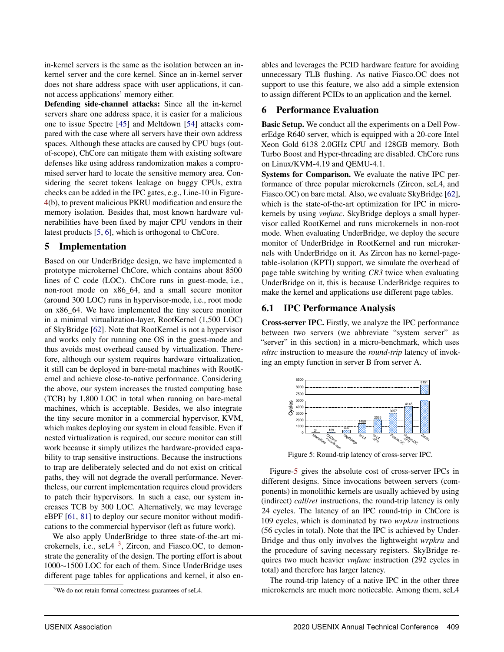in-kernel servers is the same as the isolation between an inkernel server and the core kernel. Since an in-kernel server does not share address space with user applications, it cannot access applications' memory either.

Defending side-channel attacks: Since all the in-kernel servers share one address space, it is easier for a malicious one to issue Spectre [\[45](#page-14-12)] and Meltdown [\[54\]](#page-15-16) attacks compared with the case where all servers have their own address spaces. Although these attacks are caused by CPU bugs (outof-scope), ChCore can mitigate them with existing software defenses like using address randomization makes a compromised server hard to locate the sensitive memory area. Considering the secret tokens leakage on buggy CPUs, extra checks can be added in the IPC gates, e.g., Line-10 in Figure-[4\(](#page-6-0)b), to prevent malicious PKRU modification and ensure the memory isolation. Besides that, most known hardware vulnerabilities have been fixed by major CPU vendors in their latest products [\[5,](#page-13-18) [6\]](#page-13-19), which is orthogonal to ChCore.

#### 5 Implementation

Based on our UnderBridge design, we have implemented a prototype microkernel ChCore, which contains about 8500 lines of C code (LOC). ChCore runs in guest-mode, i.e., non-root mode on x86\_64, and a small secure monitor (around 300 LOC) runs in hypervisor-mode, i.e., root mode on x86\_64. We have implemented the tiny secure monitor in a minimal virtualization-layer, RootKernel (1,500 LOC) of SkyBridge [\[62](#page-15-4)]. Note that RootKernel is not a hypervisor and works only for running one OS in the guest-mode and thus avoids most overhead caused by virtualization. Therefore, although our system requires hardware virtualization, it still can be deployed in bare-metal machines with RootKernel and achieve close-to-native performance. Considering the above, our system increases the trusted computing base (TCB) by 1,800 LOC in total when running on bare-metal machines, which is acceptable. Besides, we also integrate the tiny secure monitor in a commercial hypervisor, KVM, which makes deploying our system in cloud feasible. Even if nested virtualization is required, our secure monitor can still work because it simply utilizes the hardware-provided capability to trap sensitive instructions. Because the instructions to trap are deliberately selected and do not exist on critical paths, they will not degrade the overall performance. Nevertheless, our current implementation requires cloud providers to patch their hypervisors. In such a case, our system increases TCB by 300 LOC. Alternatively, we may leverage eBPF [\[61](#page-15-17), [81\]](#page-16-11) to deploy our secure monitor without modifications to the commercial hypervisor (left as future work).

We also apply UnderBridge to three state-of-the-art microkernels, i.e., seL $4<sup>3</sup>$ , Zircon, and Fiasco.OC, to demonstrate the generality of the design. The porting effort is about 1000∼1500 LOC for each of them. Since UnderBridge uses different page tables for applications and kernel, it also en-

ables and leverages the PCID hardware feature for avoiding unnecessary TLB flushing. As native Fiasco.OC does not support to use this feature, we also add a simple extension to assign different PCIDs to an application and the kernel.

#### <span id="page-9-0"></span>6 Performance Evaluation

Basic Setup. We conduct all the experiments on a Dell PowerEdge R640 server, which is equipped with a 20-core Intel Xeon Gold 6138 2.0GHz CPU and 128GB memory. Both Turbo Boost and Hyper-threading are disabled. ChCore runs on Linux/KVM-4.19 and QEMU-4.1.

Systems for Comparison. We evaluate the native IPC performance of three popular microkernels (Zircon, seL4, and Fiasco.OC) on bare metal. Also, we evaluate SkyBridge [\[62](#page-15-4)], which is the state-of-the-art optimization for IPC in microkernels by using *vmfunc*. SkyBridge deploys a small hypervisor called RootKernel and runs microkernels in non-root mode. When evaluating UnderBridge, we deploy the secure monitor of UnderBridge in RootKernel and run microkernels with UnderBridge on it. As Zircon has no kernel-pagetable-isolation (KPTI) support, we simulate the overhead of page table switching by writing *CR3* twice when evaluating UnderBridge on it, this is because UnderBridge requires to make the kernel and applications use different page tables.

#### 6.1 IPC Performance Analysis

Cross-server IPC. Firstly, we analyze the IPC performance between two servers (we abbreviate "system server" as "server" in this section) in a micro-benchmark, which uses *rdtsc* instruction to measure the *round-trip* latency of invoking an empty function in server B from server A.

<span id="page-9-1"></span>

Figure 5: Round-trip latency of cross-server IPC.

Figure[-5](#page-9-1) gives the absolute cost of cross-server IPCs in different designs. Since invocations between servers (components) in monolithic kernels are usually achieved by using (indirect) *call*/*ret* instructions, the round-trip latency is only 24 cycles. The latency of an IPC round-trip in ChCore is 109 cycles, which is dominated by two *wrpkru* instructions (56 cycles in total). Note that the IPC is achieved by Under-Bridge and thus only involves the lightweight *wrpkru* and the procedure of saving necessary registers. SkyBridge requires two much heavier *vmfunc* instruction (292 cycles in total) and therefore has larger latency.

The round-trip latency of a native IPC in the other three microkernels are much more noticeable. Among them, seL4

 $3$ We do not retain formal correctness guarantees of seL4.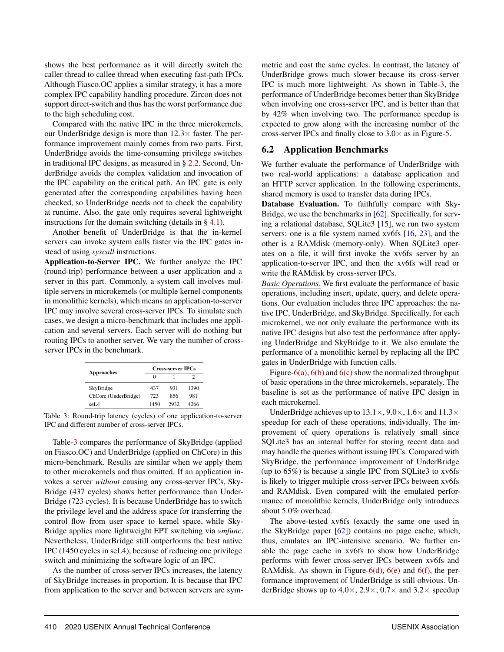shows the best performance as it will directly switch the caller thread to callee thread when executing fast-path IPCs. Although Fiasco.OC applies a similar strategy, it has a more complex IPC capability handling procedure. Zircon does not support direct-switch and thus has the worst performance due to the high scheduling cost.

Compared with the native IPC in the three microkernels, our UnderBridge design is more than  $12.3\times$  faster. The performance improvement mainly comes from two parts. First, UnderBridge avoids the time-consuming privilege switches in traditional IPC designs, as measured in § [2.2.](#page-3-2) Second, UnderBridge avoids the complex validation and invocation of the IPC capability on the critical path. An IPC gate is only generated after the corresponding capabilities having been checked, so UnderBridge needs not to check the capability at runtime. Also, the gate only requires several lightweight instructions for the domain switching (details in § [4.1\)](#page-6-1).

Another benefit of UnderBridge is that the in-kernel servers can invoke system calls faster via the IPC gates instead of using *syscall* instructions.

Application-to-Server IPC. We further analyze the IPC (round-trip) performance between a user application and a server in this part. Commonly, a system call involves multiple servers in microkernels (or multiple kernel components in monolithic kernels), which means an application-to-server IPC may involve several cross-server IPCs. To simulate such cases, we design a micro-benchmark that includes one application and several servers. Each server will do nothing but routing IPCs to another server. We vary the number of crossserver IPCs in the benchmark.

<span id="page-10-0"></span>

| <b>Cross-server IPCs</b> |      |      |
|--------------------------|------|------|
| $\mathbf{\Omega}$        |      |      |
| 437                      | 931  | 1390 |
| 723                      | 856  | 981  |
| 1450                     | 2932 | 4266 |
|                          |      |      |

Table 3: Round-trip latency (cycles) of one application-to-server IPC and different number of cross-server IPCs.

Table[-3](#page-10-0) compares the performance of SkyBridge (applied on Fiasco.OC) and UnderBridge (applied on ChCore) in this micro-benchmark. Results are similar when we apply them to other microkernels and thus omitted. If an application invokes a server *without* causing any cross-server IPCs, Sky-Bridge (437 cycles) shows better performance than Under-Bridge (723 cycles). It is because UnderBridge has to switch the privilege level and the address space for transferring the control flow from user space to kernel space, while Sky-Bridge applies more lightweight EPT switching via *vmfunc*. Nevertheless, UnderBridge still outperforms the best native IPC (1450 cycles in seL4), because of reducing one privilege switch and minimizing the software logic of an IPC.

As the number of cross-server IPCs increases, the latency of SkyBridge increases in proportion. It is because that IPC from application to the server and between servers are symmetric and cost the same cycles. In contrast, the latency of UnderBridge grows much slower because its cross-server IPC is much more lightweight. As shown in Table[-3,](#page-10-0) the performance of UnderBridge becomes better than SkyBridge when involving one cross-server IPC, and is better than that by 42% when involving two. The performance speedup is expected to grow along with the increasing number of the cross-server IPCs and finally close to  $3.0\times$  as in Figure[-5.](#page-9-1)

#### 6.2 Application Benchmarks

We further evaluate the performance of UnderBridge with two real-world applications: a database application and an HTTP server application. In the following experiments, shared memory is used to transfer data during IPCs.

Database Evaluation. To faithfully compare with Sky-Bridge, we use the benchmarks in [\[62\]](#page-15-4). Specifically, for serving a relational database, SQLite3 [\[15](#page-13-14)], we run two system servers: one is a file system named xv6fs [\[16,](#page-13-20) [23](#page-13-21)], and the other is a RAMdisk (memory-only). When SQLite3 operates on a file, it will first invoke the xv6fs server by an application-to-server IPC, and then the xv6fs will read or write the RAMdisk by cross-server IPCs.

*Basic Operations.* We first evaluate the performance of basic operations, including insert, update, query, and delete operations. Our evaluation includes three IPC approaches: the native IPC, UnderBridge, and SkyBridge. Specifically, for each microkernel, we not only evaluate the performance with its native IPC designs but also test the performance after applying UnderBridge and SkyBridge to it. We also emulate the performance of a monolithic kernel by replacing all the IPC gates in UnderBridge with function calls.

Figure[-6\(a\),](#page-11-0)  $6(b)$  and  $6(c)$  show the normalized throughput of basic operations in the three microkernels, separately. The baseline is set as the performance of native IPC design in each microkernel.

UnderBridge achieves up to  $13.1 \times$ ,  $9.0 \times$ ,  $1.6 \times$  and  $11.3 \times$ speedup for each of these operations, individually. The improvement of query operations is relatively small since SQLite3 has an internal buffer for storing recent data and may handle the queries without issuing IPCs. Compared with SkyBridge, the performance improvement of UnderBridge (up to 65%) is because a single IPC from SQLite3 to xv6fs is likely to trigger multiple cross-server IPCs between xv6fs and RAMdisk. Even compared with the emulated performance of monolithic kernels, UnderBridge only introduces about 5.0% overhead.

The above-tested xv6fs (exactly the same one used in the SkyBridge paper [\[62\]](#page-15-4)) contains no page cache, which, thus, emulates an IPC-intensive scenario. We further enable the page cache in xv6fs to show how UnderBridge performs with fewer cross-server IPCs between xv6fs and RAMdisk. As shown in Figure[-6\(d\),](#page-11-3)  $6(e)$  and  $6(f)$ , the performance improvement of UnderBridge is still obvious. UnderBridge shows up to  $4.0 \times$ ,  $2.9 \times$ ,  $0.7 \times$  and  $3.2 \times$  speedup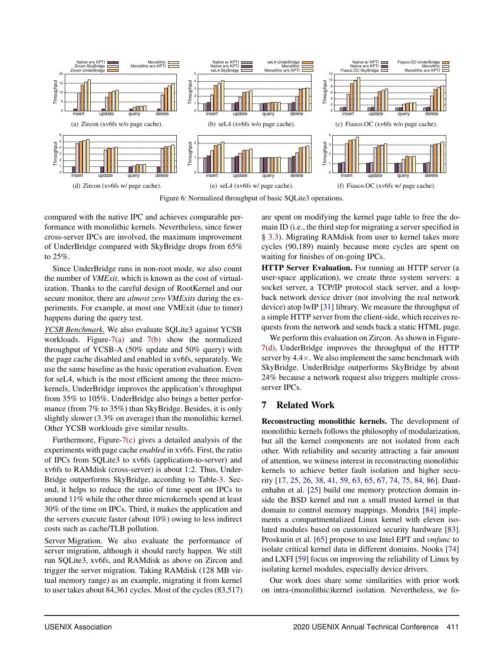<span id="page-11-0"></span>

<span id="page-11-4"></span><span id="page-11-1"></span>Figure 6: Normalized throughput of basic SQLite3 operations.

<span id="page-11-3"></span>compared with the native IPC and achieves comparable performance with monolithic kernels. Nevertheless, since fewer cross-server IPCs are involved, the maximum improvement of UnderBridge compared with SkyBridge drops from 65% to 25%.

Since UnderBridge runs in non-root mode, we also count the number of *VMExit*, which is known as the cost of virtualization. Thanks to the careful design of RootKernel and our secure monitor, there are *almost zero VMExits* during the experiments. For example, at most one VMExit (due to timer) happens during the query test.

*YCSB Benchmark.* We also evaluate SQLite3 against YCSB workloads. Figure[-7\(a\)](#page-12-0) and  $7(b)$  show the normalized throughput of YCSB-A (50% update and 50% query) with the page cache disabled and enabled in xv6fs, separately. We use the same baseline as the basic operation evaluation. Even for seL4, which is the most efficient among the three microkernels, UnderBridge improves the application's throughput from 35% to 105%. UnderBridge also brings a better performance (from 7% to 35%) than SkyBridge. Besides, it is only slightly slower (3.3% on average) than the monolithic kernel. Other YCSB workloads give similar results.

Furthermore, Figure[-7\(c\)](#page-12-2) gives a detailed analysis of the experiments with page cache *enabled* in xv6fs. First, the ratio of IPCs from SQLite3 to xv6fs (application-to-server) and xv6fs to RAMdisk (cross-server) is about 1:2. Thus, Under-Bridge outperforms SkyBridge, according to Table[-3.](#page-10-0) Second, it helps to reduce the ratio of time spent on IPCs to around 11% while the other three microkernels spend at least 30% of the time on IPCs. Third, it makes the application and the servers execute faster (about 10%) owing to less indirect costs such as cache/TLB pollution.

Server Migration. We also evaluate the performance of server migration, although it should rarely happen. We still run SQLite3, xv6fs, and RAMdisk as above on Zircon and trigger the server migration. Taking RAMdisk (128 MB virtual memory range) as an example, migrating it from kernel to user takes about 84,361 cycles. Most of the cycles (83,517)

<span id="page-11-5"></span><span id="page-11-2"></span>are spent on modifying the kernel page table to free the domain ID (i.e., the third step for migrating a server specified in § [3.3\)](#page-5-0). Migrating RAMdisk from user to kernel takes more cycles (90,189) mainly because more cycles are spent on waiting for finishes of on-going IPCs.

HTTP Server Evaluation. For running an HTTP server (a user-space application), we create three system servers: a socket server, a TCP/IP protocol stack server, and a loopback network device driver (not involving the real network device) atop lwIP [\[31\]](#page-14-13) library. We measure the throughput of a simple HTTP server from the client-side, which receives requests from the network and sends back a static HTML page.

We perform this evaluation on Zircon. As shown in Figure-[7\(d\),](#page-12-3) UnderBridge improves the throughput of the HTTP server by  $4.4 \times$ . We also implement the same benchmark with SkyBridge. UnderBridge outperforms SkyBridge by about 24% because a network request also triggers multiple crossserver IPCs.

# 7 Related Work

Reconstructing monolithic kernels. The development of monolithic kernels follows the philosophy of modularization, but all the kernel components are not isolated from each other. With reliability and security attracting a fair amount of attention, we witness interest in reconstructing monolithic kernels to achieve better fault isolation and higher security [\[17,](#page-13-16) [25,](#page-13-17) [26,](#page-14-14) [38,](#page-14-15) [41,](#page-14-16) [59](#page-15-18), [63](#page-15-19), [65](#page-15-13), [67](#page-16-12), [74](#page-16-13), [75](#page-16-14), [84](#page-16-15), [86](#page-17-2)]. Dautenhahn et al. [\[25\]](#page-13-17) build one memory protection domain inside the BSD kernel and run a small trusted kernel in that domain to control memory mappings. Mondrix [\[84\]](#page-16-15) implements a compartmentalized Linux kernel with eleven isolated modules based on customized security hardware [\[83\]](#page-16-16). Proskurin et al. [\[65](#page-15-13)] propose to use Intel EPT and *vmfunc* to isolate critical kernel data in different domains. Nooks [\[74\]](#page-16-13) and LXFI [\[59\]](#page-15-18) focus on improving the reliability of Linux by isolating kernel modules, especially device drivers.

Our work does share some similarities with prior work on intra-(monolithic)kernel isolation. Nevertheless, we fo-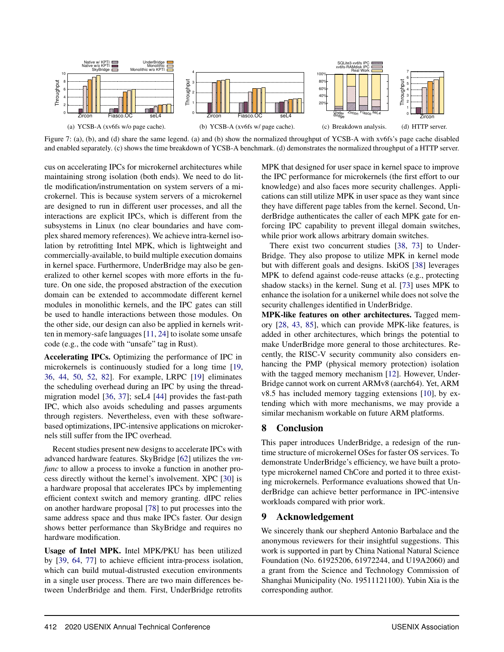<span id="page-12-0"></span>

Figure 7: (a), (b), and (d) share the same legend. (a) and (b) show the normalized throughput of YCSB-A with xv6fs's page cache disabled and enabled separately. (c) shows the time breakdown of YCSB-A benchmark. (d) demonstrates the normalized throughput of a HTTP server.

cus on accelerating IPCs for microkernel architectures while maintaining strong isolation (both ends). We need to do little modification/instrumentation on system servers of a microkernel. This is because system servers of a microkernel are designed to run in different user processes, and all the interactions are explicit IPCs, which is different from the subsystems in Linux (no clear boundaries and have complex shared memory references). We achieve intra-kernel isolation by retrofitting Intel MPK, which is lightweight and commercially-available, to build multiple execution domains in kernel space. Furthermore, UnderBridge may also be generalized to other kernel scopes with more efforts in the future. On one side, the proposed abstraction of the execution domain can be extended to accommodate different kernel modules in monolithic kernels, and the IPC gates can still be used to handle interactions between those modules. On the other side, our design can also be applied in kernels written in memory-safe languages [\[11,](#page-13-22) [24](#page-13-13)] to isolate some unsafe code (e.g., the code with "unsafe" tag in Rust).

Accelerating IPCs. Optimizing the performance of IPC in microkernels is continuously studied for a long time [\[19,](#page-13-2) [36,](#page-14-6) [44](#page-14-2), [50,](#page-15-5) [52,](#page-15-1) [82](#page-16-4)]. For example, LRPC [\[19\]](#page-13-2) eliminates the scheduling overhead during an IPC by using the threadmigration model [\[36,](#page-14-6) [37\]](#page-14-17); seL4 [\[44](#page-14-2)] provides the fast-path IPC, which also avoids scheduling and passes arguments through registers. Nevertheless, even with these softwarebased optimizations, IPC-intensive applications on microkernels still suffer from the IPC overhead.

Recent studies present new designs to accelerate IPCs with advanced hardware features. SkyBridge [\[62\]](#page-15-4) utilizes the *vmfunc* to allow a process to invoke a function in another process directly without the kernel's involvement. XPC [\[30](#page-14-4)] is a hardware proposal that accelerates IPCs by implementing efficient context switch and memory granting. dIPC relies on another hardware proposal [\[78\]](#page-16-17) to put processes into the same address space and thus make IPCs faster. Our design shows better performance than SkyBridge and requires no hardware modification.

Usage of Intel MPK. Intel MPK/PKU has been utilized by [\[39](#page-14-8), [64,](#page-15-6) [77](#page-16-5)] to achieve efficient intra-process isolation, which can build mutual-distrusted execution environments in a single user process. There are two main differences between UnderBridge and them. First, UnderBridge retrofits

<span id="page-12-3"></span><span id="page-12-2"></span><span id="page-12-1"></span>MPK that designed for user space in kernel space to improve the IPC performance for microkernels (the first effort to our knowledge) and also faces more security challenges. Applications can still utilize MPK in user space as they want since they have different page tables from the kernel. Second, UnderBridge authenticates the caller of each MPK gate for enforcing IPC capability to prevent illegal domain switches, while prior work allows arbitrary domain switches.

There exist two concurrent studies [\[38,](#page-14-15) [73](#page-16-18)] to Under-Bridge. They also propose to utilize MPK in kernel mode but with different goals and designs. IskiOS [\[38](#page-14-15)] leverages MPK to defend against code-reuse attacks (e.g., protecting shadow stacks) in the kernel. Sung et al. [\[73\]](#page-16-18) uses MPK to enhance the isolation for a unikernel while does not solve the security challenges identified in UnderBridge.

MPK-like features on other architectures. Tagged memory [\[28](#page-14-18), [43,](#page-14-19) [85](#page-17-3)], which can provide MPK-like features, is added in other architectures, which brings the potential to make UnderBridge more general to those architectures. Recently, the RISC-V security community also considers enhancing the PMP (physical memory protection) isolation with the tagged memory mechanism [\[12\]](#page-13-23). However, Under-Bridge cannot work on current ARMv8 (aarch64). Yet, ARM v8.5 has included memory tagging extensions [\[10](#page-13-24)], by extending which with more mechanisms, we may provide a similar mechanism workable on future ARM platforms.

# 8 Conclusion

This paper introduces UnderBridge, a redesign of the runtime structure of microkernel OSes for faster OS services. To demonstrate UnderBridge's efficiency, we have built a prototype microkernel named ChCore and ported it to three existing microkernels. Performance evaluations showed that UnderBridge can achieve better performance in IPC-intensive workloads compared with prior work.

# 9 Acknowledgement

We sincerely thank our shepherd Antonio Barbalace and the anonymous reviewers for their insightful suggestions. This work is supported in part by China National Natural Science Foundation (No. 61925206, 61972244, and U19A2060) and a grant from the Science and Technology Commission of Shanghai Municipality (No. 19511121100). Yubin Xia is the corresponding author.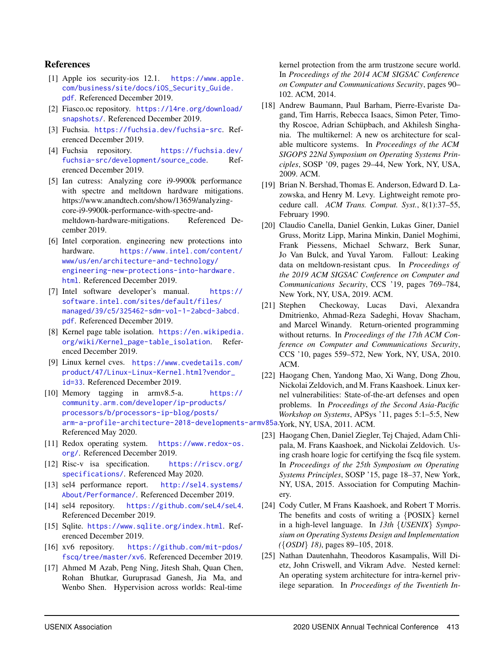#### References

- <span id="page-13-1"></span>[1] Apple ios security-ios 12.1. [https://www.apple.](https://www.apple.com/business/site/docs/iOS_Security_Guide.pdf) [com/business/site/docs/iOS\\_Security\\_Guide.](https://www.apple.com/business/site/docs/iOS_Security_Guide.pdf) [pdf](https://www.apple.com/business/site/docs/iOS_Security_Guide.pdf). Referenced December 2019.
- <span id="page-13-10"></span>[2] Fiasco.oc repository. [https://l4re.org/download/](https://l4re.org/download/snapshots/) [snapshots/](https://l4re.org/download/snapshots/). Referenced December 2019.
- <span id="page-13-0"></span>[3] Fuchsia. <https://fuchsia.dev/fuchsia-src>. Referenced December 2019.
- <span id="page-13-9"></span>[4] Fuchsia repository. [https://fuchsia.dev/](https://fuchsia.dev/fuchsia-src/development/source_code) [fuchsia-src/development/source\\_code](https://fuchsia.dev/fuchsia-src/development/source_code). Referenced December 2019.
- <span id="page-13-18"></span>[5] Ian cutress: Analyzing core i9-9900k performance with spectre and meltdown hardware mitigations. https://www.anandtech.com/show/13659/analyzingcore-i9-9900k-performance-with-spectre-andmeltdown-hardware-mitigations. Referenced December 2019.
- <span id="page-13-19"></span>[6] Intel corporation. engineering new protections into hardware. [https://www.intel.com/content/](https://www.intel.com/content/www/us/en/architecture-and-technology/engineering-new-protections-into-hardware.html) [www/us/en/architecture-and-technology/](https://www.intel.com/content/www/us/en/architecture-and-technology/engineering-new-protections-into-hardware.html) [engineering-new-protections-into-hardware.](https://www.intel.com/content/www/us/en/architecture-and-technology/engineering-new-protections-into-hardware.html) [html](https://www.intel.com/content/www/us/en/architecture-and-technology/engineering-new-protections-into-hardware.html). Referenced December 2019.
- <span id="page-13-4"></span>[7] Intel software developer's manual. [https://](https://software.intel.com/sites/default/files/managed/39/c5/325462-sdm-vol-1-2abcd-3abcd.pdf) [software.intel.com/sites/default/files/](https://software.intel.com/sites/default/files/managed/39/c5/325462-sdm-vol-1-2abcd-3abcd.pdf) [managed/39/c5/325462-sdm-vol-1-2abcd-3abcd.](https://software.intel.com/sites/default/files/managed/39/c5/325462-sdm-vol-1-2abcd-3abcd.pdf) [pdf](https://software.intel.com/sites/default/files/managed/39/c5/325462-sdm-vol-1-2abcd-3abcd.pdf). Referenced December 2019.
- <span id="page-13-6"></span>[8] Kernel page table isolation. [https://en.wikipedia.](https://en.wikipedia.org/wiki/Kernel_page-table_isolation) [org/wiki/Kernel\\_page-table\\_isolation](https://en.wikipedia.org/wiki/Kernel_page-table_isolation). Referenced December 2019.
- <span id="page-13-11"></span>[9] Linux kernel cves. [https://www.cvedetails.com/](https://www.cvedetails.com/product/47/Linux-Linux-Kernel.html?vendor_id=33) [product/47/Linux-Linux-Kernel.html?vendor\\_](https://www.cvedetails.com/product/47/Linux-Linux-Kernel.html?vendor_id=33) [id=33](https://www.cvedetails.com/product/47/Linux-Linux-Kernel.html?vendor_id=33). Referenced December 2019.
- <span id="page-13-24"></span>[10] Memory tagging in armv8.5-a. [https://](https://community.arm.com/developer/ip-products/processors/b/processors-ip-blog/posts/arm-a-profile-architecture-2018-developments-armv85a) [community.arm.com/developer/ip-products/](https://community.arm.com/developer/ip-products/processors/b/processors-ip-blog/posts/arm-a-profile-architecture-2018-developments-armv85a) [processors/b/processors-ip-blog/posts/](https://community.arm.com/developer/ip-products/processors/b/processors-ip-blog/posts/arm-a-profile-architecture-2018-developments-armv85a) [arm-a-profile-architecture-2018-developments-armv85a](https://community.arm.com/developer/ip-products/processors/b/processors-ip-blog/posts/arm-a-profile-architecture-2018-developments-armv85a). York, NY, USA, 2011. ACM. Referenced May 2020.
- <span id="page-13-22"></span>[11] Redox operating system. [https://www.redox-os.](https://www.redox-os.org/) [org/](https://www.redox-os.org/). Referenced December 2019.
- <span id="page-13-23"></span>[12] Risc-v isa specification. [https://riscv.org/](https://riscv.org/specifications/) [specifications/](https://riscv.org/specifications/). Referenced May 2020.
- <span id="page-13-3"></span>[13] sel4 performance report. [http://sel4.systems/](http://sel4.systems/About/Performance/) [About/Performance/](http://sel4.systems/About/Performance/). Referenced December 2019.
- <span id="page-13-8"></span>[14] sel4 repository. <https://github.com/seL4/seL4>. Referenced December 2019.
- <span id="page-13-14"></span>[15] Sqlite. <https://www.sqlite.org/index.html>. Referenced December 2019.
- <span id="page-13-20"></span>[16] xv6 repository. [https://github.com/mit-pdos/](https://github.com/mit-pdos/fscq/tree/master/xv6) [fscq/tree/master/xv6](https://github.com/mit-pdos/fscq/tree/master/xv6). Referenced December 2019.
- <span id="page-13-16"></span>[17] Ahmed M Azab, Peng Ning, Jitesh Shah, Quan Chen, Rohan Bhutkar, Guruprasad Ganesh, Jia Ma, and Wenbo Shen. Hypervision across worlds: Real-time

kernel protection from the arm trustzone secure world. In *Proceedings of the 2014 ACM SIGSAC Conference on Computer and Communications Security*, pages 90– 102. ACM, 2014.

- <span id="page-13-15"></span>[18] Andrew Baumann, Paul Barham, Pierre-Evariste Dagand, Tim Harris, Rebecca Isaacs, Simon Peter, Timothy Roscoe, Adrian Schüpbach, and Akhilesh Singhania. The multikernel: A new os architecture for scalable multicore systems. In *Proceedings of the ACM SIGOPS 22Nd Symposium on Operating Systems Principles*, SOSP '09, pages 29–44, New York, NY, USA, 2009. ACM.
- <span id="page-13-2"></span>[19] Brian N. Bershad, Thomas E. Anderson, Edward D. Lazowska, and Henry M. Levy. Lightweight remote procedure call. *ACM Trans. Comput. Syst.*, 8(1):37–55, February 1990.
- <span id="page-13-5"></span>[20] Claudio Canella, Daniel Genkin, Lukas Giner, Daniel Gruss, Moritz Lipp, Marina Minkin, Daniel Moghimi, Frank Piessens, Michael Schwarz, Berk Sunar, Jo Van Bulck, and Yuval Yarom. Fallout: Leaking data on meltdown-resistant cpus. In *Proceedings of the 2019 ACM SIGSAC Conference on Computer and Communications Security*, CCS '19, pages 769–784, New York, NY, USA, 2019. ACM.
- <span id="page-13-7"></span>[21] Stephen Checkoway, Lucas Davi, Alexandra Dmitrienko, Ahmad-Reza Sadeghi, Hovav Shacham, and Marcel Winandy. Return-oriented programming without returns. In *Proceedings of the 17th ACM Conference on Computer and Communications Security*, CCS '10, pages 559–572, New York, NY, USA, 2010. ACM.
- <span id="page-13-12"></span>[22] Haogang Chen, Yandong Mao, Xi Wang, Dong Zhou, Nickolai Zeldovich, and M. Frans Kaashoek. Linux kernel vulnerabilities: State-of-the-art defenses and open problems. In *Proceedings of the Second Asia-Pacific Workshop on Systems*, APSys '11, pages 5:1–5:5, New
- <span id="page-13-21"></span>[23] Haogang Chen, Daniel Ziegler, Tej Chajed, Adam Chlipala, M. Frans Kaashoek, and Nickolai Zeldovich. Using crash hoare logic for certifying the fscq file system. In *Proceedings of the 25th Symposium on Operating Systems Principles*, SOSP '15, page 18–37, New York, NY, USA, 2015. Association for Computing Machinery.
- <span id="page-13-13"></span>[24] Cody Cutler, M Frans Kaashoek, and Robert T Morris. The benefits and costs of writing a {POSIX} kernel in a high-level language. In *13th* {*USENIX*} *Symposium on Operating Systems Design and Implementation (*{*OSDI*} *18)*, pages 89–105, 2018.
- <span id="page-13-17"></span>[25] Nathan Dautenhahn, Theodoros Kasampalis, Will Dietz, John Criswell, and Vikram Adve. Nested kernel: An operating system architecture for intra-kernel privilege separation. In *Proceedings of the Twentieth In-*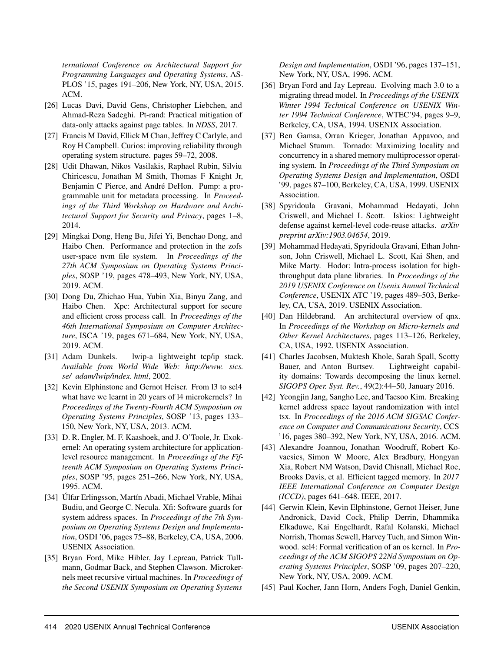*ternational Conference on Architectural Support for Programming Languages and Operating Systems*, AS-PLOS '15, pages 191–206, New York, NY, USA, 2015. ACM.

- <span id="page-14-14"></span>[26] Lucas Davi, David Gens, Christopher Liebchen, and Ahmad-Reza Sadeghi. Pt-rand: Practical mitigation of data-only attacks against page tables. In *NDSS*, 2017.
- <span id="page-14-0"></span>[27] Francis M David, Ellick M Chan, Jeffrey C Carlyle, and Roy H Campbell. Curios: improving reliability through operating system structure. pages 59–72, 2008.
- <span id="page-14-18"></span>[28] Udit Dhawan, Nikos Vasilakis, Raphael Rubin, Silviu Chiricescu, Jonathan M Smith, Thomas F Knight Jr, Benjamin C Pierce, and André DeHon. Pump: a programmable unit for metadata processing. In *Proceedings of the Third Workshop on Hardware and Architectural Support for Security and Privacy*, pages 1–8, 2014.
- <span id="page-14-7"></span>[29] Mingkai Dong, Heng Bu, Jifei Yi, Benchao Dong, and Haibo Chen. Performance and protection in the zofs user-space nvm file system. In *Proceedings of the 27th ACM Symposium on Operating Systems Principles*, SOSP '19, pages 478–493, New York, NY, USA, 2019. ACM.
- <span id="page-14-4"></span>[30] Dong Du, Zhichao Hua, Yubin Xia, Binyu Zang, and Haibo Chen. Xpc: Architectural support for secure and efficient cross process call. In *Proceedings of the 46th International Symposium on Computer Architecture*, ISCA '19, pages 671–684, New York, NY, USA, 2019. ACM.
- <span id="page-14-13"></span>[31] Adam Dunkels. lwip-a lightweight tcp/ip stack. *Available from World Wide Web: http://www. sics. se/ adam/lwip/index. html*, 2002.
- <span id="page-14-10"></span>[32] Kevin Elphinstone and Gernot Heiser. From 13 to sel4 what have we learnt in 20 years of l4 microkernels? In *Proceedings of the Twenty-Fourth ACM Symposium on Operating Systems Principles*, SOSP '13, pages 133– 150, New York, NY, USA, 2013. ACM.
- <span id="page-14-5"></span>[33] D. R. Engler, M. F. Kaashoek, and J. O'Toole, Jr. Exokernel: An operating system architecture for applicationlevel resource management. In *Proceedings of the Fifteenth ACM Symposium on Operating Systems Principles*, SOSP '95, pages 251–266, New York, NY, USA, 1995. ACM.
- <span id="page-14-11"></span>[34] Úlfar Erlingsson, Martín Abadi, Michael Vrable, Mihai Budiu, and George C. Necula. Xfi: Software guards for system address spaces. In *Proceedings of the 7th Symposium on Operating Systems Design and Implementation*, OSDI '06, pages 75–88, Berkeley, CA, USA, 2006. USENIX Association.
- <span id="page-14-1"></span>[35] Bryan Ford, Mike Hibler, Jay Lepreau, Patrick Tullmann, Godmar Back, and Stephen Clawson. Microkernels meet recursive virtual machines. In *Proceedings of the Second USENIX Symposium on Operating Systems*

*Design and Implementation*, OSDI '96, pages 137–151, New York, NY, USA, 1996. ACM.

- <span id="page-14-6"></span>[36] Bryan Ford and Jay Lepreau. Evolving mach 3.0 to a migrating thread model. In *Proceedings of the USENIX Winter 1994 Technical Conference on USENIX Winter 1994 Technical Conference*, WTEC'94, pages 9–9, Berkeley, CA, USA, 1994. USENIX Association.
- <span id="page-14-17"></span>[37] Ben Gamsa, Orran Krieger, Jonathan Appavoo, and Michael Stumm. Tornado: Maximizing locality and concurrency in a shared memory multiprocessor operating system. In *Proceedings of the Third Symposium on Operating Systems Design and Implementation*, OSDI '99, pages 87–100, Berkeley, CA, USA, 1999. USENIX Association.
- <span id="page-14-15"></span>[38] Spyridoula Gravani, Mohammad Hedayati, John Criswell, and Michael L Scott. Iskios: Lightweight defense against kernel-level code-reuse attacks. *arXiv preprint arXiv:1903.04654*, 2019.
- <span id="page-14-8"></span>[39] Mohammad Hedayati, Spyridoula Gravani, Ethan Johnson, John Criswell, Michael L. Scott, Kai Shen, and Mike Marty. Hodor: Intra-process isolation for highthroughput data plane libraries. In *Proceedings of the 2019 USENIX Conference on Usenix Annual Technical Conference*, USENIX ATC '19, pages 489–503, Berkeley, CA, USA, 2019. USENIX Association.
- <span id="page-14-3"></span>[40] Dan Hildebrand. An architectural overview of qnx. In *Proceedings of the Workshop on Micro-kernels and Other Kernel Architectures*, pages 113–126, Berkeley, CA, USA, 1992. USENIX Association.
- <span id="page-14-16"></span>[41] Charles Jacobsen, Muktesh Khole, Sarah Spall, Scotty Bauer, and Anton Burtsev. Lightweight capability domains: Towards decomposing the linux kernel. *SIGOPS Oper. Syst. Rev.*, 49(2):44–50, January 2016.
- <span id="page-14-9"></span>[42] Yeongjin Jang, Sangho Lee, and Taesoo Kim. Breaking kernel address space layout randomization with intel tsx. In *Proceedings of the 2016 ACM SIGSAC Conference on Computer and Communications Security*, CCS '16, pages 380–392, New York, NY, USA, 2016. ACM.
- <span id="page-14-19"></span>[43] Alexandre Joannou, Jonathan Woodruff, Robert Kovacsics, Simon W Moore, Alex Bradbury, Hongyan Xia, Robert NM Watson, David Chisnall, Michael Roe, Brooks Davis, et al. Efficient tagged memory. In *2017 IEEE International Conference on Computer Design (ICCD)*, pages 641–648. IEEE, 2017.
- <span id="page-14-2"></span>[44] Gerwin Klein, Kevin Elphinstone, Gernot Heiser, June Andronick, David Cock, Philip Derrin, Dhammika Elkaduwe, Kai Engelhardt, Rafal Kolanski, Michael Norrish, Thomas Sewell, Harvey Tuch, and Simon Winwood. sel4: Formal verification of an os kernel. In *Proceedings of the ACM SIGOPS 22Nd Symposium on Operating Systems Principles*, SOSP '09, pages 207–220, New York, NY, USA, 2009. ACM.
- <span id="page-14-12"></span>[45] Paul Kocher, Jann Horn, Anders Fogh, Daniel Genkin,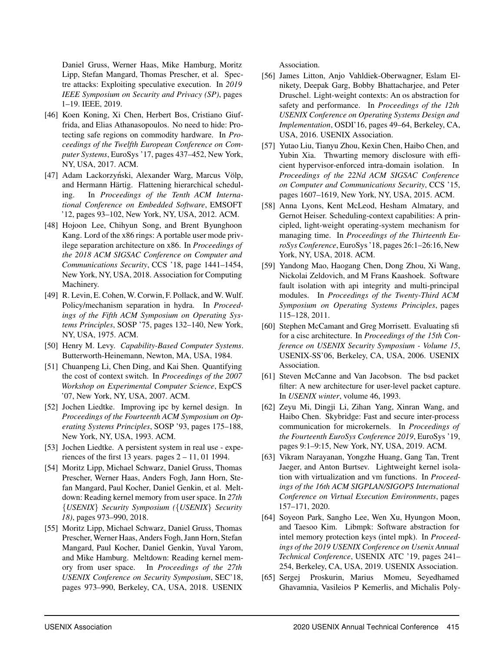Daniel Gruss, Werner Haas, Mike Hamburg, Moritz Lipp, Stefan Mangard, Thomas Prescher, et al. Spectre attacks: Exploiting speculative execution. In *2019 IEEE Symposium on Security and Privacy (SP)*, pages 1–19. IEEE, 2019.

- <span id="page-15-8"></span>[46] Koen Koning, Xi Chen, Herbert Bos, Cristiano Giuffrida, and Elias Athanasopoulos. No need to hide: Protecting safe regions on commodity hardware. In *Proceedings of the Twelfth European Conference on Computer Systems*, EuroSys '17, pages 437–452, New York, NY, USA, 2017. ACM.
- <span id="page-15-14"></span>[47] Adam Lackorzyński, Alexander Warg, Marcus Völp, and Hermann Härtig. Flattening hierarchical scheduling. In *Proceedings of the Tenth ACM International Conference on Embedded Software*, EMSOFT '12, pages 93–102, New York, NY, USA, 2012. ACM.
- <span id="page-15-10"></span>[48] Hojoon Lee, Chihyun Song, and Brent Byunghoon Kang. Lord of the x86 rings: A portable user mode privilege separation architecture on x86. In *Proceedings of the 2018 ACM SIGSAC Conference on Computer and Communications Security*, CCS '18, page 1441–1454, New York, NY, USA, 2018. Association for Computing Machinery.
- <span id="page-15-0"></span>[49] R. Levin, E. Cohen, W. Corwin, F. Pollack, and W. Wulf. Policy/mechanism separation in hydra. In *Proceedings of the Fifth ACM Symposium on Operating Systems Principles*, SOSP '75, pages 132–140, New York, NY, USA, 1975. ACM.
- <span id="page-15-5"></span>[50] Henry M. Levy. *Capability-Based Computer Systems*. Butterworth-Heinemann, Newton, MA, USA, 1984.
- <span id="page-15-2"></span>[51] Chuanpeng Li, Chen Ding, and Kai Shen. Quantifying the cost of context switch. In *Proceedings of the 2007 Workshop on Experimental Computer Science*, ExpCS '07, New York, NY, USA, 2007. ACM.
- <span id="page-15-1"></span>[52] Jochen Liedtke. Improving ipc by kernel design. In *Proceedings of the Fourteenth ACM Symposium on Operating Systems Principles*, SOSP '93, pages 175–188, New York, NY, USA, 1993. ACM.
- <span id="page-15-3"></span>[53] Jochen Liedtke. A persistent system in real use - experiences of the first 13 years. pages  $2 - 11$ , 01 1994.
- <span id="page-15-16"></span>[54] Moritz Lipp, Michael Schwarz, Daniel Gruss, Thomas Prescher, Werner Haas, Anders Fogh, Jann Horn, Stefan Mangard, Paul Kocher, Daniel Genkin, et al. Meltdown: Reading kernel memory from user space. In *27th* {*USENIX*} *Security Symposium (*{*USENIX*} *Security 18)*, pages 973–990, 2018.
- <span id="page-15-7"></span>[55] Moritz Lipp, Michael Schwarz, Daniel Gruss, Thomas Prescher, Werner Haas, Anders Fogh, Jann Horn, Stefan Mangard, Paul Kocher, Daniel Genkin, Yuval Yarom, and Mike Hamburg. Meltdown: Reading kernel memory from user space. In *Proceedings of the 27th USENIX Conference on Security Symposium*, SEC'18, pages 973–990, Berkeley, CA, USA, 2018. USENIX

Association.

- <span id="page-15-11"></span>[56] James Litton, Anjo Vahldiek-Oberwagner, Eslam Elnikety, Deepak Garg, Bobby Bhattacharjee, and Peter Druschel. Light-weight contexts: An os abstraction for safety and performance. In *Proceedings of the 12th USENIX Conference on Operating Systems Design and Implementation*, OSDI'16, pages 49–64, Berkeley, CA, USA, 2016. USENIX Association.
- <span id="page-15-12"></span>[57] Yutao Liu, Tianyu Zhou, Kexin Chen, Haibo Chen, and Yubin Xia. Thwarting memory disclosure with efficient hypervisor-enforced intra-domain isolation. In *Proceedings of the 22Nd ACM SIGSAC Conference on Computer and Communications Security*, CCS '15, pages 1607–1619, New York, NY, USA, 2015. ACM.
- <span id="page-15-15"></span>[58] Anna Lyons, Kent McLeod, Hesham Almatary, and Gernot Heiser. Scheduling-context capabilities: A principled, light-weight operating-system mechanism for managing time. In *Proceedings of the Thirteenth EuroSys Conference*, EuroSys '18, pages 26:1–26:16, New York, NY, USA, 2018. ACM.
- <span id="page-15-18"></span>[59] Yandong Mao, Haogang Chen, Dong Zhou, Xi Wang, Nickolai Zeldovich, and M Frans Kaashoek. Software fault isolation with api integrity and multi-principal modules. In *Proceedings of the Twenty-Third ACM Symposium on Operating Systems Principles*, pages 115–128, 2011.
- <span id="page-15-9"></span>[60] Stephen McCamant and Greg Morrisett. Evaluating sfi for a cisc architecture. In *Proceedings of the 15th Conference on USENIX Security Symposium - Volume 15*, USENIX-SS'06, Berkeley, CA, USA, 2006. USENIX Association.
- <span id="page-15-17"></span>[61] Steven McCanne and Van Jacobson. The bsd packet filter: A new architecture for user-level packet capture. In *USENIX winter*, volume 46, 1993.
- <span id="page-15-4"></span>[62] Zeyu Mi, Dingji Li, Zihan Yang, Xinran Wang, and Haibo Chen. Skybridge: Fast and secure inter-process communication for microkernels. In *Proceedings of the Fourteenth EuroSys Conference 2019*, EuroSys '19, pages 9:1–9:15, New York, NY, USA, 2019. ACM.
- <span id="page-15-19"></span>[63] Vikram Narayanan, Yongzhe Huang, Gang Tan, Trent Jaeger, and Anton Burtsev. Lightweight kernel isolation with virtualization and vm functions. In *Proceedings of the 16th ACM SIGPLAN/SIGOPS International Conference on Virtual Execution Environments*, pages 157–171, 2020.
- <span id="page-15-6"></span>[64] Soyeon Park, Sangho Lee, Wen Xu, Hyungon Moon, and Taesoo Kim. Libmpk: Software abstraction for intel memory protection keys (intel mpk). In *Proceedings of the 2019 USENIX Conference on Usenix Annual Technical Conference*, USENIX ATC '19, pages 241– 254, Berkeley, CA, USA, 2019. USENIX Association.
- <span id="page-15-13"></span>[65] Sergej Proskurin, Marius Momeu, Seyedhamed Ghavamnia, Vasileios P Kemerlis, and Michalis Poly-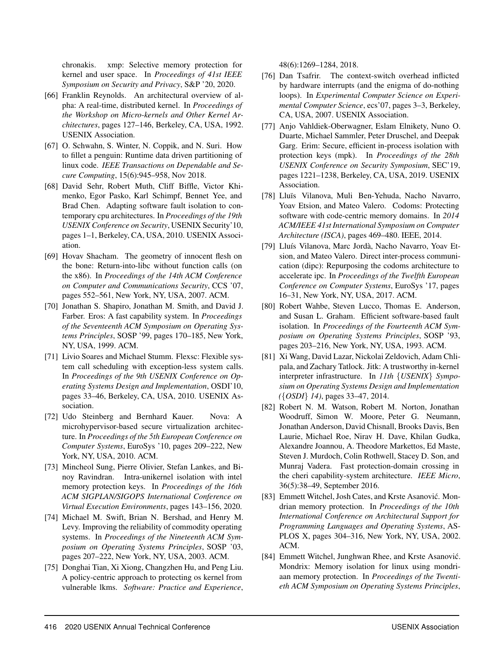chronakis. xmp: Selective memory protection for kernel and user space. In *Proceedings of 41st IEEE Symposium on Security and Privacy*, S&P '20, 2020.

- <span id="page-16-1"></span>[66] Franklin Reynolds. An architectural overview of alpha: A real-time, distributed kernel. In *Proceedings of the Workshop on Micro-kernels and Other Kernel Architectures*, pages 127–146, Berkeley, CA, USA, 1992. USENIX Association.
- <span id="page-16-12"></span>[67] O. Schwahn, S. Winter, N. Coppik, and N. Suri. How to fillet a penguin: Runtime data driven partitioning of linux code. *IEEE Transactions on Dependable and Secure Computing*, 15(6):945–958, Nov 2018.
- <span id="page-16-8"></span>[68] David Sehr, Robert Muth, Cliff Biffle, Victor Khimenko, Egor Pasko, Karl Schimpf, Bennet Yee, and Brad Chen. Adapting software fault isolation to contemporary cpu architectures. In *Proceedings of the 19th USENIX Conference on Security*, USENIX Security'10, pages 1–1, Berkeley, CA, USA, 2010. USENIX Association.
- <span id="page-16-6"></span>[69] Hovav Shacham. The geometry of innocent flesh on the bone: Return-into-libc without function calls (on the x86). In *Proceedings of the 14th ACM Conference on Computer and Communications Security*, CCS '07, pages 552–561, New York, NY, USA, 2007. ACM.
- <span id="page-16-0"></span>[70] Jonathan S. Shapiro, Jonathan M. Smith, and David J. Farber. Eros: A fast capability system. In *Proceedings of the Seventeenth ACM Symposium on Operating Systems Principles*, SOSP '99, pages 170–185, New York, NY, USA, 1999. ACM.
- <span id="page-16-7"></span>[71] Livio Soares and Michael Stumm. Flexsc: Flexible system call scheduling with exception-less system calls. In *Proceedings of the 9th USENIX Conference on Operating Systems Design and Implementation*, OSDI'10, pages 33–46, Berkeley, CA, USA, 2010. USENIX Association.
- <span id="page-16-10"></span>[72] Udo Steinberg and Bernhard Kauer. Nova: A microhypervisor-based secure virtualization architecture. In *Proceedings of the 5th European Conference on Computer Systems*, EuroSys '10, pages 209–222, New York, NY, USA, 2010. ACM.
- <span id="page-16-18"></span>[73] Mincheol Sung, Pierre Olivier, Stefan Lankes, and Binoy Ravindran. Intra-unikernel isolation with intel memory protection keys. In *Proceedings of the 16th ACM SIGPLAN/SIGOPS International Conference on Virtual Execution Environments*, pages 143–156, 2020.
- <span id="page-16-13"></span>[74] Michael M. Swift, Brian N. Bershad, and Henry M. Levy. Improving the reliability of commodity operating systems. In *Proceedings of the Nineteenth ACM Symposium on Operating Systems Principles*, SOSP '03, pages 207–222, New York, NY, USA, 2003. ACM.
- <span id="page-16-14"></span>[75] Donghai Tian, Xi Xiong, Changzhen Hu, and Peng Liu. A policy-centric approach to protecting os kernel from vulnerable lkms. *Software: Practice and Experience*,

48(6):1269–1284, 2018.

- <span id="page-16-2"></span>[76] Dan Tsafrir. The context-switch overhead inflicted by hardware interrupts (and the enigma of do-nothing loops). In *Experimental Computer Science on Experimental Computer Science*, ecs'07, pages 3–3, Berkeley, CA, USA, 2007. USENIX Association.
- <span id="page-16-5"></span>[77] Anjo Vahldiek-Oberwagner, Eslam Elnikety, Nuno O. Duarte, Michael Sammler, Peter Druschel, and Deepak Garg. Erim: Secure, efficient in-process isolation with protection keys (mpk). In *Proceedings of the 28th USENIX Conference on Security Symposium*, SEC'19, pages 1221–1238, Berkeley, CA, USA, 2019. USENIX Association.
- <span id="page-16-17"></span>[78] Lluïs Vilanova, Muli Ben-Yehuda, Nacho Navarro, Yoav Etsion, and Mateo Valero. Codoms: Protecting software with code-centric memory domains. In *2014 ACM/IEEE 41st International Symposium on Computer Architecture (ISCA)*, pages 469–480. IEEE, 2014.
- <span id="page-16-3"></span>[79] Lluís Vilanova, Marc Jordà, Nacho Navarro, Yoav Etsion, and Mateo Valero. Direct inter-process communication (dipc): Repurposing the codoms architecture to accelerate ipc. In *Proceedings of the Twelfth European Conference on Computer Systems*, EuroSys '17, pages 16–31, New York, NY, USA, 2017. ACM.
- <span id="page-16-9"></span>[80] Robert Wahbe, Steven Lucco, Thomas E. Anderson, and Susan L. Graham. Efficient software-based fault isolation. In *Proceedings of the Fourteenth ACM Symposium on Operating Systems Principles*, SOSP '93, pages 203–216, New York, NY, USA, 1993. ACM.
- <span id="page-16-11"></span>[81] Xi Wang, David Lazar, Nickolai Zeldovich, Adam Chlipala, and Zachary Tatlock. Jitk: A trustworthy in-kernel interpreter infrastructure. In *11th* {*USENIX*} *Symposium on Operating Systems Design and Implementation (*{*OSDI*} *14)*, pages 33–47, 2014.
- <span id="page-16-4"></span>[82] Robert N. M. Watson, Robert M. Norton, Jonathan Woodruff, Simon W. Moore, Peter G. Neumann, Jonathan Anderson, David Chisnall, Brooks Davis, Ben Laurie, Michael Roe, Nirav H. Dave, Khilan Gudka, Alexandre Joannou, A. Theodore Markettos, Ed Maste, Steven J. Murdoch, Colin Rothwell, Stacey D. Son, and Munraj Vadera. Fast protection-domain crossing in the cheri capability-system architecture. *IEEE Micro*, 36(5):38–49, September 2016.
- <span id="page-16-16"></span>[83] Emmett Witchel, Josh Cates, and Krste Asanović. Mondrian memory protection. In *Proceedings of the 10th International Conference on Architectural Support for Programming Languages and Operating Systems*, AS-PLOS X, pages 304–316, New York, NY, USA, 2002. ACM.
- <span id="page-16-15"></span>[84] Emmett Witchel, Junghwan Rhee, and Krste Asanović. Mondrix: Memory isolation for linux using mondriaan memory protection. In *Proceedings of the Twentieth ACM Symposium on Operating Systems Principles*,